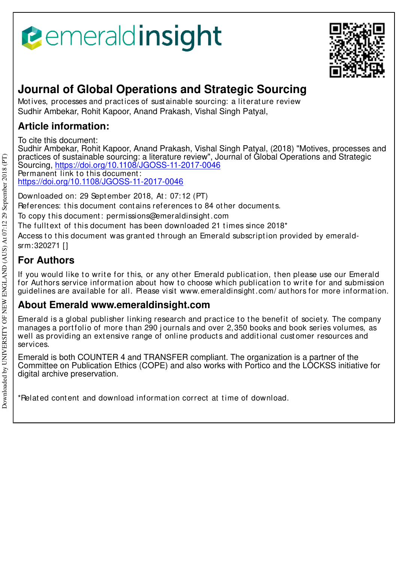# *<u><b>eemeraldinsight</u>*



## **Journal of Global Operations and Strategic Sourcing**

Motives, processes and practices of sustainable sourcing: a literature review Sudhir Ambekar, Rohit Kapoor, Anand Prakash, Vishal Singh Patyal,

## **Article information:**

To cite this document:

Sudhir Ambekar, Rohit Kapoor, Anand Prakash, Vishal Singh Patyal, (2018) "Motives, processes and practices of sustainable sourcing: a literature review", Journal of Global Operations and Strategic Sourcing, https://doi.org/10.1108/JGOSS-11-2017-0046 Permanent link to this document: https://doi.org/10.1108/JGOSS-11-2017-0046

Downloaded on: 29 Sept ember 2018, At : 07:12 (PT)

References: this document contains references to 84 other documents.

To copy t his document : permissions@emeraldinsight .com

The fulltext of this document has been downloaded 21 times since 2018\*

Access to this document was granted through an Emerald subscription provided by emeraldsrm:320271 []

## **For Authors**

If you would like to write for this, or any other Emerald publication, then please use our Emerald for Authors service information about how to choose which publication to write for and submission guidelines are available for all. Please visit www.emeraldinsight .com/ aut hors for more informat ion.

## **About Emerald www.emeraldinsight.com**

Emerald is a global publisher linking research and practice to the benefit of society. The company manages a portfolio of more than 290 journals and over 2,350 books and book series volumes, as well as providing an extensive range of online products and additional customer resources and services.

Emerald is both COUNTER 4 and TRANSFER compliant. The organization is a partner of the Committee on Publication Ethics (COPE) and also works with Portico and the LOCKSS initiative for digital archive preservation.

\*Relat ed cont ent and download informat ion correct at t ime of download.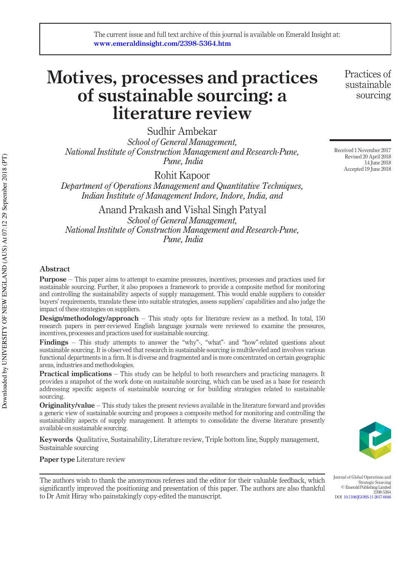## Motives, processes and practices of sustainable sourcing: a literature review

Sudhir Ambekar *School of General Management, National Institute of Construction Management and Research-Pune, Pune, India*

Rohit Kapoor

*Department of Operations Management and Quantitative Techniques, Indian Institute of Management Indore, Indore, India, and*

Anand Prakash and Vishal Singh Patyal *School of General Management, National Institute of Construction Management and Research-Pune, Pune, India*

#### Abstract

Purpose – This paper aims to attempt to examine pressures, incentives, processes and practices used for sustainable sourcing. Further, it also proposes a framework to provide a composite method for monitoring and controlling the sustainability aspects of supply management. This would enable suppliers to consider buyers' requirements, translate these into suitable strategies, assess suppliers' capabilities and also judge the impact of these strategies on suppliers.

**Design/methodology/approach** – This study opts for literature review as a method. In total, 150 research papers in peer-reviewed English language journals were reviewed to examine the pressures, incentives, processes and practices used for sustainable sourcing.

Findings – This study attempts to answer the "why"-, "what"- and "how"-related questions about sustainable sourcing. It is observed that research in sustainable sourcing is multileveled and involves various functional departments in a firm. It is diverse and fragmented and is more concentrated on certain geographic areas, industries and methodologies.

**Practical implications** – This study can be helpful to both researchers and practicing managers. It provides a snapshot of the work done on sustainable sourcing, which can be used as a base for research addressing specific aspects of sustainable sourcing or for building strategies related to sustainable sourcing.

**Originality/value** – This study takes the present reviews available in the literature forward and provides a generic view of sustainable sourcing and proposes a composite method for monitoring and controlling the sustainability aspects of supply management. It attempts to consolidate the diverse literature presently available on sustainable sourcing.

Keywords Qualitative, Sustainability, Literature review, Triple bottom line, Supply management, Sustainable sourcing

Paper type Literature review

The authors wish to thank the anonymous referees and the editor for their valuable feedback, which significantly improved the positioning and presentation of this paper. The authors are also thankful to Dr Amit Hiray who painstakingly copy-edited the manuscript.

Practices of sustainable sourcing

Received 1 November 2017 Revised 20 April 2018 14 June 2018 Accepted 19 June 2018

Journal of Global Operations and Strategic Sourcing © Emerald Publishing Limited 2398-5364 DOI 10.1108/JGOSS-11-2017-0046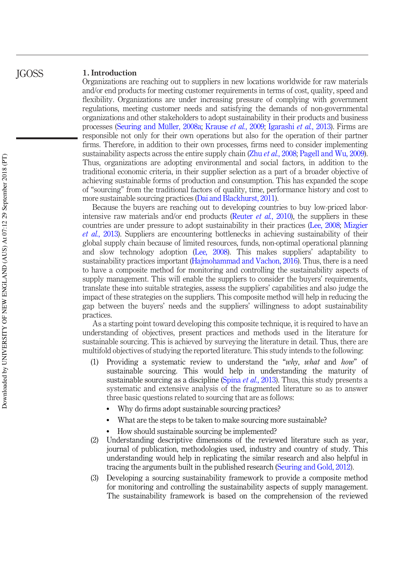#### 1. Introduction **IGOSS**

Organizations are reaching out to suppliers in new locations worldwide for raw materials and/or end products for meeting customer requirements in terms of cost, quality, speed and flexibility. Organizations are under increasing pressure of complying with government regulations, meeting customer needs and satisfying the demands of non-governmental organizations and other stakeholders to adopt sustainability in their products and business processes (Seuring and Müller, 2008a; Krause *et al.*, 2009; Igarashi *et al.*, 2013). Firms are responsible not only for their own operations but also for the operation of their partner firms. Therefore, in addition to their own processes, firms need to consider implementing sustainability aspects across the entire supply chain (Zhu *et al.*, 2008; Pagell and Wu, 2009). Thus, organizations are adopting environmental and social factors, in addition to the traditional economic criteria, in their supplier selection as a part of a broader objective of achieving sustainable forms of production and consumption. This has expanded the scope of "sourcing" from the traditional factors of quality, time, performance history and cost to more sustainable sourcing practices (Dai and Blackhurst, 2011).

Because the buyers are reaching out to developing countries to buy low-priced laborintensive raw materials and/or end products (Reuter *et al.*, 2010), the suppliers in these countries are under pressure to adopt sustainability in their practices (Lee, 2008; Mizgier *et al.*, 2013). Suppliers are encountering bottlenecks in achieving sustainability of their global supply chain because of limited resources, funds, non-optimal operational planning and slow technology adoption (Lee, 2008). This makes suppliers' adaptability to sustainability practices important (Hajmohammad and Vachon, 2016). Thus, there is a need to have a composite method for monitoring and controlling the sustainability aspects of supply management. This will enable the suppliers to consider the buyers' requirements, translate these into suitable strategies, assess the suppliers' capabilities and also judge the impact of these strategies on the suppliers. This composite method will help in reducing the gap between the buyers' needs and the suppliers' willingness to adopt sustainability practices.

As a starting point toward developing this composite technique, it is required to have an understanding of objectives, present practices and methods used in the literature for sustainable sourcing. This is achieved by surveying the literature in detail. Thus, there are multifold objectives of studying the reported literature. This study intends to the following:

- (1) Providing a systematic review to understand the "*why*, *what* and *how*" of sustainable sourcing. This would help in understanding the maturity of sustainable sourcing as a discipline (Spina *et al*., 2013). Thus, this study presents a systematic and extensive analysis of the fragmented literature so as to answer three basic questions related to sourcing that are as follows:
	- Why do firms adopt sustainable sourcing practices?
	- What are the steps to be taken to make sourcing more sustainable?
	- How should sustainable sourcing be implemented?
- (2) Understanding descriptive dimensions of the reviewed literature such as year, journal of publication, methodologies used, industry and country of study. This understanding would help in replicating the similar research and also helpful in tracing the arguments built in the published research (Seuring and Gold, 2012).
- (3) Developing a sourcing sustainability framework to provide a composite method for monitoring and controlling the sustainability aspects of supply management. The sustainability framework is based on the comprehension of the reviewed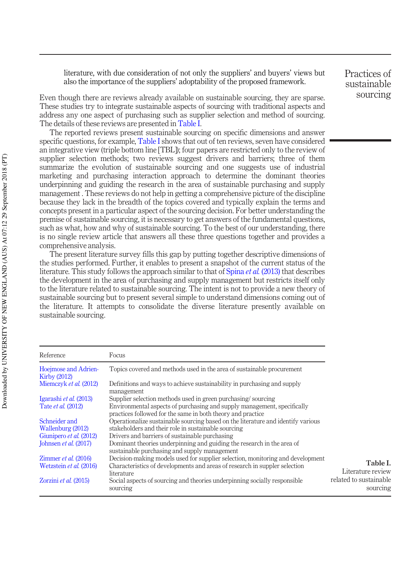literature, with due consideration of not only the suppliers' and buyers' views but also the importance of the suppliers' adoptability of the proposed framework.

Even though there are reviews already available on sustainable sourcing, they are sparse. These studies try to integrate sustainable aspects of sourcing with traditional aspects and address any one aspect of purchasing such as supplier selection and method of sourcing. The details of these reviews are presented in Table I.

The reported reviews present sustainable sourcing on specific dimensions and answer specific questions, for example, Table I shows that out of ten reviews, seven have considered an integrative view (triple bottom line [TBL]); four papers are restricted only to the review of supplier selection methods; two reviews suggest drivers and barriers; three of them summarize the evolution of sustainable sourcing and one suggests use of industrial marketing and purchasing interaction approach to determine the dominant theories underpinning and guiding the research in the area of sustainable purchasing and supply management . These reviews do not help in getting a comprehensive picture of the discipline because they lack in the breadth of the topics covered and typically explain the terms and concepts present in a particular aspect of the sourcing decision. For better understanding the premise of sustainable sourcing, it is necessary to get answers of the fundamental questions, such as what, how and why of sustainable sourcing. To the best of our understanding, there is no single review article that answers all these three questions together and provides a comprehensive analysis.

The present literature survey fills this gap by putting together descriptive dimensions of the studies performed. Further, it enables to present a snapshot of the current status of the literature. This study follows the approach similar to that of Spina *et al.* (2013) that describes the development in the area of purchasing and supply management but restricts itself only to the literature related to sustainable sourcing. The intent is not to provide a new theory of sustainable sourcing but to present several simple to understand dimensions coming out of the literature. It attempts to consolidate the diverse literature presently available on sustainable sourcing.

| Reference                                   | Focus                                                                                                                                  |                                    |
|---------------------------------------------|----------------------------------------------------------------------------------------------------------------------------------------|------------------------------------|
| Hoejmose and Adrien-<br><b>Kirby (2012)</b> | Topics covered and methods used in the area of sustainable procurement                                                                 |                                    |
| Miemczyk et al. (2012)                      | Definitions and ways to achieve sustainability in purchasing and supply<br>management                                                  |                                    |
| Igarashi et al. (2013)                      | Supplier selection methods used in green purchasing/sourcing                                                                           |                                    |
| Tate <i>et al.</i> (2012)                   | Environmental aspects of purchasing and supply management, specifically<br>practices followed for the same in both theory and practice |                                    |
| Schneider and                               | Operationalize sustainable sourcing based on the literature and identify various                                                       |                                    |
| Wallenburg (2012)                           | stakeholders and their role in sustainable sourcing                                                                                    |                                    |
| Giunipero et al. (2012)                     | Drivers and barriers of sustainable purchasing                                                                                         |                                    |
| Johnsen et al. (2017)                       | Dominant theories underpinning and guiding the research in the area of<br>sustainable purchasing and supply management                 |                                    |
| Zimmer <i>et al.</i> $(2016)$               | Decision-making models used for supplier selection, monitoring and development                                                         |                                    |
| Wetzstein et al. (2016)                     | Characteristics of developments and areas of research in suppler selection<br>literature                                               | Table I.<br>Literature review      |
| Zorzini <i>et al.</i> $(2015)$              | Social aspects of sourcing and theories underpinning socially responsible<br>sourcing                                                  | related to sustainable<br>sourcing |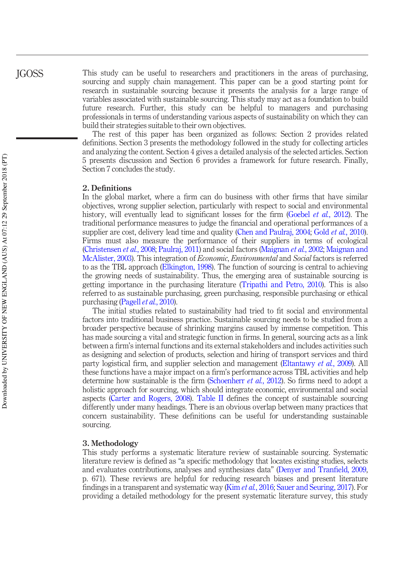This study can be useful to researchers and practitioners in the areas of purchasing, sourcing and supply chain management. This paper can be a good starting point for research in sustainable sourcing because it presents the analysis for a large range of variables associated with sustainable sourcing. This study may act as a foundation to build future research. Further, this study can be helpful to managers and purchasing professionals in terms of understanding various aspects of sustainability on which they can build their strategies suitable to their own objectives.

The rest of this paper has been organized as follows: Section 2 provides related definitions. Section 3 presents the methodology followed in the study for collecting articles and analyzing the content. Section 4 gives a detailed analysis of the selected articles. Section 5 presents discussion and Section 6 provides a framework for future research. Finally, Section 7 concludes the study.

#### 2. Definitions

In the global market, where a firm can do business with other firms that have similar objectives, wrong supplier selection, particularly with respect to social and environmental history, will eventually lead to significant losses for the firm (Goebel *et al.*, 2012). The traditional performance measures to judge the financial and operational performances of a supplier are cost, delivery lead time and quality (Chen and Paulraj, 2004; Gold *et al.*, 2010). Firms must also measure the performance of their suppliers in terms of ecological (Christensen *et al.*, 2008; Paulraj, 2011) and social factors (Maignan *et al.*, 2002; Maignan and McAlister, 2003). This integration of *Economic*, *Environmental* and *Social* factors is referred to as the TBL approach (Elkington, 1998). The function of sourcing is central to achieving the growing needs of sustainability. Thus, the emerging area of sustainable sourcing is getting importance in the purchasing literature (Tripathi and Petro, 2010). This is also referred to as sustainable purchasing, green purchasing, responsible purchasing or ethical purchasing (Pagell *et al.*, 2010).

The initial studies related to sustainability had tried to fit social and environmental factors into traditional business practice. Sustainable sourcing needs to be studied from a broader perspective because of shrinking margins caused by immense competition. This has made sourcing a vital and strategic function in firms. In general, sourcing acts as a link between a firm's internal functions and its external stakeholders and includes activities such as designing and selection of products, selection and hiring of transport services and third party logistical firm, and supplier selection and management (Eltantawy *et al.*, 2009). All these functions have a major impact on a firm's performance across TBL activities and help determine how sustainable is the firm (Schoenherr *et al.*, 2012). So firms need to adopt a holistic approach for sourcing, which should integrate economic, environmental and social aspects (Carter and Rogers, 2008). Table II defines the concept of sustainable sourcing differently under many headings. There is an obvious overlap between many practices that concern sustainability. These definitions can be useful for understanding sustainable sourcing.

#### 3. Methodology

This study performs a systematic literature review of sustainable sourcing. Systematic literature review is defined as "a specific methodology that locates existing studies, selects and evaluates contributions, analyses and synthesizes data" (Denyer and Tranfield, 2009, p. 671). These reviews are helpful for reducing research biases and present literature findings in a transparent and systematic way (Kim *et al.*, 2016; Sauer and Seuring, 2017). For providing a detailed methodology for the present systematic literature survey, this study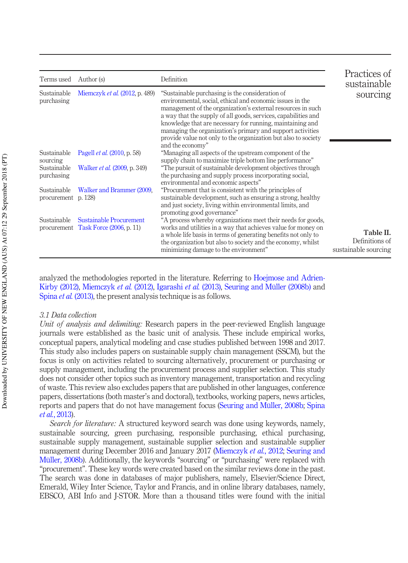| Terms used                         | Author (s)                                                      | Definition                                                                                                                                                                                                                                                                                                                                                                                                                                                     | Practices of<br>sustainable                         |
|------------------------------------|-----------------------------------------------------------------|----------------------------------------------------------------------------------------------------------------------------------------------------------------------------------------------------------------------------------------------------------------------------------------------------------------------------------------------------------------------------------------------------------------------------------------------------------------|-----------------------------------------------------|
| Sustainable<br>purchasing          | Miemczyk <i>et al.</i> (2012, p. 489)                           | "Sustainable purchasing is the consideration of<br>environmental, social, ethical and economic issues in the<br>management of the organization's external resources in such<br>a way that the supply of all goods, services, capabilities and<br>knowledge that are necessary for running, maintaining and<br>managing the organization's primary and support activities<br>provide value not only to the organization but also to society<br>and the economy" | sourcing                                            |
| Sustainable<br>sourcing            | Pagell <i>et al.</i> (2010, p. 58)                              | "Managing all aspects of the upstream component of the<br>supply chain to maximize triple bottom line performance"                                                                                                                                                                                                                                                                                                                                             |                                                     |
| Sustainable<br>purchasing          | Walker <i>et al.</i> (2009, p. 349)                             | "The pursuit of sustainable development objectives through<br>the purchasing and supply process incorporating social,<br>environmental and economic aspects"                                                                                                                                                                                                                                                                                                   |                                                     |
| Sustainable<br>procurement p. 128) | Walker and Brammer (2009,                                       | "Procurement that is consistent with the principles of<br>sustainable development, such as ensuring a strong, healthy<br>and just society, living within environmental limits, and<br>promoting good governance"                                                                                                                                                                                                                                               |                                                     |
| Sustainable                        | Sustainable Procurement<br>procurement Task Force (2006, p. 11) | "A process whereby organizations meet their needs for goods,<br>works and utilities in a way that achieves value for money on<br>a whole life basis in terms of generating benefits not only to<br>the organization but also to society and the economy, whilst<br>minimizing damage to the environment"                                                                                                                                                       | Table II.<br>Definitions of<br>sustainable sourcing |

analyzed the methodologies reported in the literature. Referring to Hoejmose and Adrien-Kirby (2012), Miemczyk *et al.* (2012), Igarashi *et al.* (2013), Seuring and Müller (2008b) and Spina *et al.* (2013), the present analysis technique is as follows.

#### *3.1 Data collection*

*Unit of analysis and delimiting:* Research papers in the peer-reviewed English language journals were established as the basic unit of analysis. These include empirical works, conceptual papers, analytical modeling and case studies published between 1998 and 2017. This study also includes papers on sustainable supply chain management (SSCM), but the focus is only on activities related to sourcing alternatively, procurement or purchasing or supply management, including the procurement process and supplier selection. This study does not consider other topics such as inventory management, transportation and recycling of waste. This review also excludes papers that are published in other languages, conference papers, dissertations (both master's and doctoral), textbooks, working papers, news articles, reports and papers that do not have management focus (Seuring and Müller, 2008b; Spina *et al.*, 2013).

*Search for literature:* A structured keyword search was done using keywords, namely, sustainable sourcing, green purchasing, responsible purchasing, ethical purchasing, sustainable supply management, sustainable supplier selection and sustainable supplier management during December 2016 and January 2017 (Miemczyk *et al.*, 2012; Seuring and Müller, 2008b). Additionally, the keywords "sourcing" or "purchasing" were replaced with "procurement". These key words were created based on the similar reviews done in the past. The search was done in databases of major publishers, namely, Elsevier/Science Direct, Emerald, Wiley Inter Science, Taylor and Francis, and in online library databases, namely, EBSCO, ABI Info and J-STOR. More than a thousand titles were found with the initial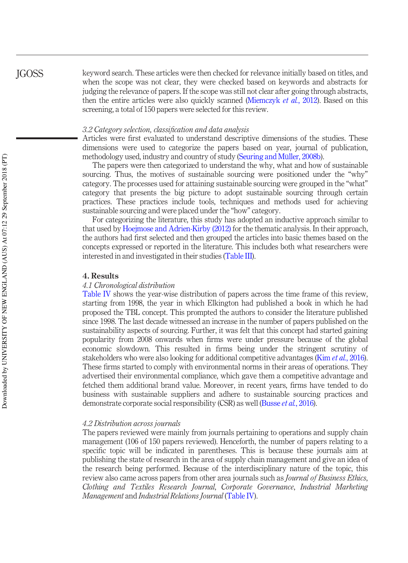keyword search. These articles were then checked for relevance initially based on titles, and when the scope was not clear, they were checked based on keywords and abstracts for judging the relevance of papers. If the scope was still not clear after going through abstracts, then the entire articles were also quickly scanned (Miemczyk *et al.*, 2012). Based on this screening, a total of 150 papers were selected for this review.

#### *3.2 Category selection, classi*fi*cation and data analysis*

Articles were first evaluated to understand descriptive dimensions of the studies. These dimensions were used to categorize the papers based on year, journal of publication, methodology used, industry and country of study (Seuring and Müller, 2008b).

The papers were then categorized to understand the why, what and how of sustainable sourcing. Thus, the motives of sustainable sourcing were positioned under the "why" category. The processes used for attaining sustainable sourcing were grouped in the "what" category that presents the big picture to adopt sustainable sourcing through certain practices. These practices include tools, techniques and methods used for achieving sustainable sourcing and were placed under the "how" category.

For categorizing the literature, this study has adopted an inductive approach similar to that used by Hoejmose and Adrien-Kirby (2012) for the thematic analysis. In their approach, the authors had first selected and then grouped the articles into basic themes based on the concepts expressed or reported in the literature. This includes both what researchers were interested in and investigated in their studies (Table III).

#### 4. Results

#### *4.1 Chronological distribution*

Table IV shows the year-wise distribution of papers across the time frame of this review, starting from 1998, the year in which Elkington had published a book in which he had proposed the TBL concept. This prompted the authors to consider the literature published since 1998. The last decade witnessed an increase in the number of papers published on the sustainability aspects of sourcing. Further, it was felt that this concept had started gaining popularity from 2008 onwards when firms were under pressure because of the global economic slowdown. This resulted in firms being under the stringent scrutiny of stakeholders who were also looking for additional competitive advantages (Kim *et al.*, 2016). These firms started to comply with environmental norms in their areas of operations. They advertised their environmental compliance, which gave them a competitive advantage and fetched them additional brand value. Moreover, in recent years, firms have tended to do business with sustainable suppliers and adhere to sustainable sourcing practices and demonstrate corporate social responsibility (CSR) as well (Busse *et al.*, 2016).

#### *4.2 Distribution across journals*

The papers reviewed were mainly from journals pertaining to operations and supply chain management (106 of 150 papers reviewed). Henceforth, the number of papers relating to a specific topic will be indicated in parentheses. This is because these journals aim at publishing the state of research in the area of supply chain management and give an idea of the research being performed. Because of the interdisciplinary nature of the topic, this review also came across papers from other area journals such as *Journal of Business Ethics*, *Clothing and Textiles Research Journal*, *Corporate Governance*, *Industrial Marketing Management* and *Industrial Relations Journal* (Table IV).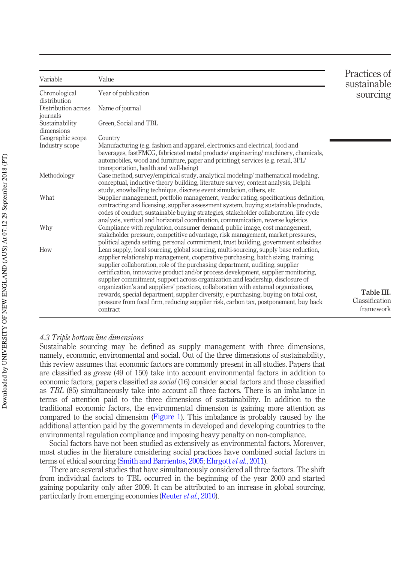| Variable                           | Value                                                                                                                                                                                                                                                                                                                                                                                                                                                                                                                                                                                                                                                                                                                 | Practices of<br>sustainable               |
|------------------------------------|-----------------------------------------------------------------------------------------------------------------------------------------------------------------------------------------------------------------------------------------------------------------------------------------------------------------------------------------------------------------------------------------------------------------------------------------------------------------------------------------------------------------------------------------------------------------------------------------------------------------------------------------------------------------------------------------------------------------------|-------------------------------------------|
| Chronological<br>distribution      | Year of publication                                                                                                                                                                                                                                                                                                                                                                                                                                                                                                                                                                                                                                                                                                   | sourcing                                  |
| Distribution across<br>journals    | Name of journal                                                                                                                                                                                                                                                                                                                                                                                                                                                                                                                                                                                                                                                                                                       |                                           |
| Sustainability<br>dimensions       | Green, Social and TBL                                                                                                                                                                                                                                                                                                                                                                                                                                                                                                                                                                                                                                                                                                 |                                           |
| Geographic scope<br>Industry scope | Country<br>Manufacturing (e.g. fashion and apparel, electronics and electrical, food and                                                                                                                                                                                                                                                                                                                                                                                                                                                                                                                                                                                                                              |                                           |
|                                    | beverages, fastFMCG, fabricated metal products/engineering/machinery, chemicals,<br>automobiles, wood and furniture, paper and printing); services (e.g. retail, 3PL/<br>transportation, health and well-being)                                                                                                                                                                                                                                                                                                                                                                                                                                                                                                       |                                           |
| Methodology                        | Case method, survey/empirical study, analytical modeling/mathematical modeling,<br>conceptual, inductive theory building, literature survey, content analysis, Delphi<br>study, snowballing technique, discrete event simulation, others, etc.                                                                                                                                                                                                                                                                                                                                                                                                                                                                        |                                           |
| What                               | Supplier management, portfolio management, vendor rating, specifications definition,<br>contracting and licensing, supplier assessment system, buying sustainable products,<br>codes of conduct, sustainable buying strategies, stakeholder collaboration, life cycle<br>analysis, vertical and horizontal coordination, communication, reverse logistics                                                                                                                                                                                                                                                                                                                                                             |                                           |
| Why                                | Compliance with regulation, consumer demand, public image, cost management,<br>stakeholder pressure, competitive advantage, risk management, market pressures,<br>political agenda setting, personal commitment, trust building, government subsidies                                                                                                                                                                                                                                                                                                                                                                                                                                                                 |                                           |
| How                                | Lean supply, local sourcing, global sourcing, multi-sourcing, supply base reduction,<br>supplier relationship management, cooperative purchasing, batch sizing, training,<br>supplier collaboration, role of the purchasing department, auditing, supplier<br>certification, innovative product and/or process development, supplier monitoring,<br>supplier commitment, support across organization and leadership, disclosure of<br>organization's and suppliers' practices, collaboration with external organizations,<br>rewards, special department, supplier diversity, e-purchasing, buying on total cost,<br>pressure from focal firm, reducing supplier risk, carbon tax, postponement, buy back<br>contract | Table III.<br>Classification<br>framework |

#### *4.3 Triple bottom line dimensions*

Sustainable sourcing may be defined as supply management with three dimensions, namely, economic, environmental and social. Out of the three dimensions of sustainability, this review assumes that economic factors are commonly present in all studies. Papers that are classified as *green* (49 of 150) take into account environmental factors in addition to economic factors; papers classified as *social* (16) consider social factors and those classified as *TBL* (85) simultaneously take into account all three factors. There is an imbalance in terms of attention paid to the three dimensions of sustainability. In addition to the traditional economic factors, the environmental dimension is gaining more attention as compared to the social dimension (Figure 1). This imbalance is probably caused by the additional attention paid by the governments in developed and developing countries to the environmental regulation compliance and imposing heavy penalty on non-compliance.

Social factors have not been studied as extensively as environmental factors. Moreover, most studies in the literature considering social practices have combined social factors in terms of ethical sourcing (Smith and Barrientos, 2005; Ehrgott *et al.*, 2011).

There are several studies that have simultaneously considered all three factors. The shift from individual factors to TBL occurred in the beginning of the year 2000 and started gaining popularity only after 2009. It can be attributed to an increase in global sourcing, particularly from emerging economies (Reuter *et al.*, 2010).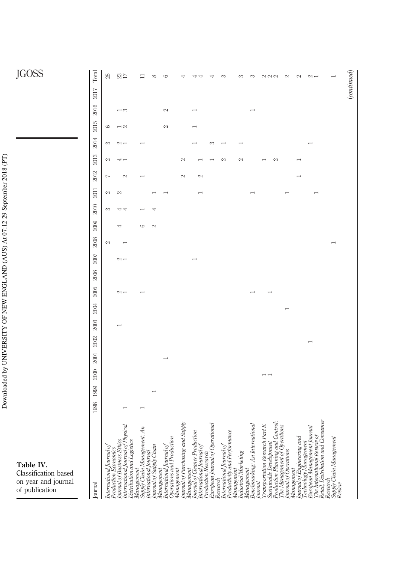|                                                                                                                              |      |      |      |      |      | Downloaded by UNIVERSITY OF NEW ENGLAND (AUS) At 07:12 29 September 2018 (PT) |      |        |      |        |               |        |      |        |                |        |      |        |                        |                |  |
|------------------------------------------------------------------------------------------------------------------------------|------|------|------|------|------|-------------------------------------------------------------------------------|------|--------|------|--------|---------------|--------|------|--------|----------------|--------|------|--------|------------------------|----------------|--|
| Table IV.<br>Classification based<br>on year and journal<br>of publication                                                   |      |      |      |      |      |                                                                               |      |        |      |        |               |        |      |        |                |        |      |        |                        | <b>JGOSS</b>   |  |
| Journal                                                                                                                      | 1998 | 1999 | 2000 | 2001 | 2002 | 2003                                                                          | 2004 | 2005   | 2006 | 2007   | 2008          | 2009   | 2010 | 2011   | 2012           | 2013   | 2014 | 2015   | 2017<br>2016           | Total          |  |
| International Journal of                                                                                                     |      |      |      |      |      |                                                                               |      |        |      |        | $\mathcal{C}$ |        | S    | 2      | $\overline{z}$ | 2      | S    | 6      |                        | 25             |  |
| International Journal of Physical<br>Journal of Business Ethics<br>Distribution and Logistics<br><b>Production Economics</b> |      |      |      |      |      |                                                                               |      | $\sim$ |      | $\sim$ |               |        |      | $\sim$ | 2              |        |      | 2      | $\rightarrow$ $\infty$ | $\mathbb{Z}^n$ |  |
| Supply Chain Management: An<br>Management                                                                                    |      |      |      |      |      |                                                                               |      |        |      |        |               | Ġ      |      |        |                |        |      |        |                        | □              |  |
| Journal of Supply Chain<br>International Journal                                                                             |      |      |      |      |      |                                                                               |      |        |      |        |               | $\sim$ |      |        |                |        |      |        |                        |                |  |
| Operations and Production<br>International Journal of<br>Management                                                          |      |      |      |      |      |                                                                               |      |        |      |        |               |        |      |        |                |        |      | $\sim$ | $\mathcal{L}$          |                |  |
| Journal of Purchasing and Supply<br>Management                                                                               |      |      |      |      |      |                                                                               |      |        |      |        |               |        |      |        | $\mathcal{C}$  | 2      |      |        |                        |                |  |
| Journal of Cleaner Production<br>International Journal of<br>Management                                                      |      |      |      |      |      |                                                                               |      |        |      |        |               |        |      |        | $\mathcal{C}$  |        |      |        |                        |                |  |
| European Journal of Operational<br>Production Research                                                                       |      |      |      |      |      |                                                                               |      |        |      |        |               |        |      |        |                |        | ∞    |        |                        |                |  |
| Productivity and Performance<br>International Journal of<br>Research                                                         |      |      |      |      |      |                                                                               |      |        |      |        |               |        |      |        |                | N      |      |        |                        |                |  |
| Industrial Marketing<br>Management                                                                                           |      |      |      |      |      |                                                                               |      |        |      |        |               |        |      |        |                | $\sim$ |      |        |                        |                |  |
| Benchmarking: An International<br>Management<br><i>lournal</i>                                                               |      |      |      |      |      |                                                                               |      |        |      |        |               |        |      |        |                |        |      |        |                        |                |  |

*Production Planning and Control: The Management of Operations*

*Journal of Operations Management*

*Journal of Engineering and Technology Management* *The International Review of Retail, Distribution and Consumer*

*Research Review*

*Supply Chain Management*

2 2

 $\sim$ 

 $N$  $N$  $N$  $\sim$  $\sim$  $\sim$   $-$ 

11 2

1 1

 $\frac{1}{1}$ 

(*continued*)

1  $\frac{1}{2}$ 

 $\overline{a}$ 

*European Management Journal* 1 1 2

*Transportation Research Part E* 1 1 2 *Sustainable Development* 1 1 2

 $\overline{a}$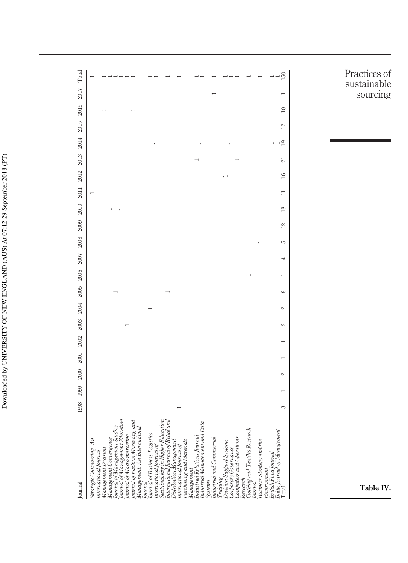| Total<br>2017 |                                                                                                                                                                                                                                                                       |                                                                                                                                                                                                                                                                  |                                                                                                |                                                                                          |                                                             | 60<br>$\overline{ }$                                                | Practices of<br>sustainable<br>sourcing |
|---------------|-----------------------------------------------------------------------------------------------------------------------------------------------------------------------------------------------------------------------------------------------------------------------|------------------------------------------------------------------------------------------------------------------------------------------------------------------------------------------------------------------------------------------------------------------|------------------------------------------------------------------------------------------------|------------------------------------------------------------------------------------------|-------------------------------------------------------------|---------------------------------------------------------------------|-----------------------------------------|
| 2016          |                                                                                                                                                                                                                                                                       |                                                                                                                                                                                                                                                                  |                                                                                                |                                                                                          |                                                             | $\Omega$                                                            |                                         |
| 2015          |                                                                                                                                                                                                                                                                       |                                                                                                                                                                                                                                                                  |                                                                                                |                                                                                          |                                                             | $12\,$                                                              |                                         |
| 2014          |                                                                                                                                                                                                                                                                       |                                                                                                                                                                                                                                                                  |                                                                                                |                                                                                          |                                                             | $\frac{1}{2}$                                                       |                                         |
| 2013          |                                                                                                                                                                                                                                                                       |                                                                                                                                                                                                                                                                  |                                                                                                |                                                                                          |                                                             | 51                                                                  |                                         |
| 2012          |                                                                                                                                                                                                                                                                       |                                                                                                                                                                                                                                                                  |                                                                                                |                                                                                          |                                                             | $16\,$                                                              |                                         |
| 2011          |                                                                                                                                                                                                                                                                       |                                                                                                                                                                                                                                                                  |                                                                                                |                                                                                          |                                                             | 급                                                                   |                                         |
| 2010          |                                                                                                                                                                                                                                                                       |                                                                                                                                                                                                                                                                  |                                                                                                |                                                                                          |                                                             | $^{26}$                                                             |                                         |
| 2009          |                                                                                                                                                                                                                                                                       |                                                                                                                                                                                                                                                                  |                                                                                                |                                                                                          |                                                             | $^{12}$                                                             |                                         |
| 2008          |                                                                                                                                                                                                                                                                       |                                                                                                                                                                                                                                                                  |                                                                                                |                                                                                          |                                                             | S                                                                   |                                         |
| 2007          |                                                                                                                                                                                                                                                                       |                                                                                                                                                                                                                                                                  |                                                                                                |                                                                                          |                                                             | 4                                                                   |                                         |
| 2006          |                                                                                                                                                                                                                                                                       |                                                                                                                                                                                                                                                                  |                                                                                                |                                                                                          |                                                             | $\overline{\phantom{0}}$                                            |                                         |
| 2005          |                                                                                                                                                                                                                                                                       |                                                                                                                                                                                                                                                                  |                                                                                                |                                                                                          |                                                             | $\infty$                                                            |                                         |
| $2004\,$      |                                                                                                                                                                                                                                                                       |                                                                                                                                                                                                                                                                  |                                                                                                |                                                                                          |                                                             | 2                                                                   |                                         |
| 2003          |                                                                                                                                                                                                                                                                       |                                                                                                                                                                                                                                                                  |                                                                                                |                                                                                          |                                                             | 2                                                                   |                                         |
| 2002          |                                                                                                                                                                                                                                                                       |                                                                                                                                                                                                                                                                  |                                                                                                |                                                                                          |                                                             | $\overline{ }$                                                      |                                         |
| 2001          |                                                                                                                                                                                                                                                                       |                                                                                                                                                                                                                                                                  |                                                                                                |                                                                                          |                                                             | $\overline{ }$                                                      |                                         |
| 2000          |                                                                                                                                                                                                                                                                       |                                                                                                                                                                                                                                                                  |                                                                                                |                                                                                          |                                                             | 2                                                                   |                                         |
| 1999          |                                                                                                                                                                                                                                                                       |                                                                                                                                                                                                                                                                  |                                                                                                |                                                                                          |                                                             | $\overline{ }$                                                      |                                         |
| 1998          |                                                                                                                                                                                                                                                                       |                                                                                                                                                                                                                                                                  |                                                                                                |                                                                                          |                                                             | 3                                                                   |                                         |
|               |                                                                                                                                                                                                                                                                       |                                                                                                                                                                                                                                                                  |                                                                                                |                                                                                          |                                                             |                                                                     |                                         |
|               | Journal of Management Studies<br>Journal of Management Education<br>Journal of Macro marketing<br>Journal of Fashion Marketing<br>Management: An International<br>Management Convergence<br>Strategic Outsourcing: An<br>Management Decision<br>International Journal | ail and<br>ucation<br><b>Iournal of Business Logistics</b><br>Sustamability in Higher Edu<br>International Journal of Reto<br>Distribution Management<br>Purchasing and Materials<br>International Journal of<br>$\emph{International Journal of}$<br>Management | Data<br>Industrial Relations Journal<br>Industrial Management and<br>Industrial and Commercial | Computers and Operations<br>Training<br>Decision Support Systems<br>Corporate Governance | Clothing and Textiles Research<br>Business Strategy and the | Baltic Journal of Management<br>Environment<br>British Food Journal |                                         |
| Journal       |                                                                                                                                                                                                                                                                       | <b>Journa</b>                                                                                                                                                                                                                                                    | <b>Systems</b>                                                                                 | Research                                                                                 | Iournal                                                     | Total                                                               | Table IV.                               |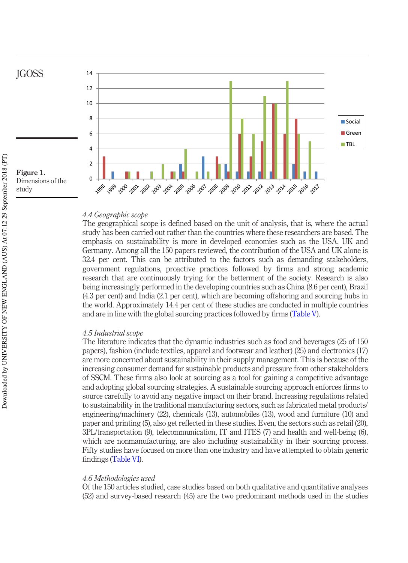

#### *4.4 Geographic scope*

The geographical scope is defined based on the unit of analysis, that is, where the actual study has been carried out rather than the countries where these researchers are based. The emphasis on sustainability is more in developed economies such as the USA, UK and Germany. Among all the 150 papers reviewed, the contribution of the USA and UK alone is 32.4 per cent. This can be attributed to the factors such as demanding stakeholders, government regulations, proactive practices followed by firms and strong academic research that are continuously trying for the betterment of the society. Research is also being increasingly performed in the developing countries such as China (8.6 per cent), Brazil (4.3 per cent) and India (2.1 per cent), which are becoming offshoring and sourcing hubs in the world. Approximately 14.4 per cent of these studies are conducted in multiple countries and are in line with the global sourcing practices followed by firms (Table V).

#### *4.5 Industrial scope*

The literature indicates that the dynamic industries such as food and beverages (25 of 150 papers), fashion (include textiles, apparel and footwear and leather) (25) and electronics (17) are more concerned about sustainability in their supply management. This is because of the increasing consumer demand for sustainable products and pressure from other stakeholders of SSCM. These firms also look at sourcing as a tool for gaining a competitive advantage and adopting global sourcing strategies. A sustainable sourcing approach enforces firms to source carefully to avoid any negative impact on their brand. Increasing regulations related to sustainability in the traditional manufacturing sectors, such as fabricated metal products/ engineering/machinery (22), chemicals (13), automobiles (13), wood and furniture (10) and paper and printing (5), also get reflected in these studies. Even, the sectors such as retail (20), 3PL/transportation (9), telecommunication, IT and ITES (7) and health and well-being (6), which are nonmanufacturing, are also including sustainability in their sourcing process. Fifty studies have focused on more than one industry and have attempted to obtain generic findings (Table VI).

#### *4.6 Methodologies used*

Of the 150 articles studied, case studies based on both qualitative and quantitative analyses (52) and survey-based research (45) are the two predominant methods used in the studies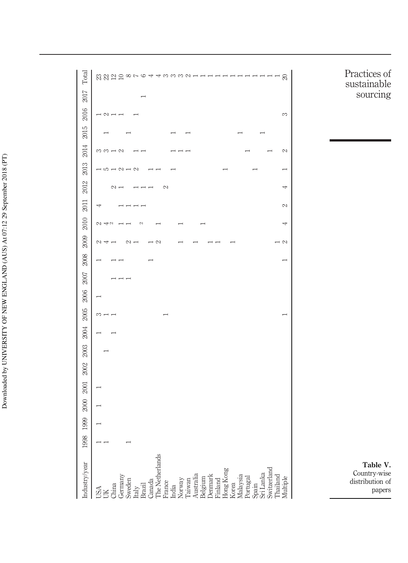| 2006<br>2005<br>2004<br>2003<br>2002<br>2001<br>2000<br>1999<br>1998 |  |  |  |  | 2007 | 2008 | 2009   | 2010          | 2011 | 2012          | 2013 | 2014          | 2015 | 2016 | 2017 | Total         |
|----------------------------------------------------------------------|--|--|--|--|------|------|--------|---------------|------|---------------|------|---------------|------|------|------|---------------|
| ∞                                                                    |  |  |  |  |      |      | ¢      |               |      |               |      |               |      |      |      | $3322$        |
|                                                                      |  |  |  |  |      |      |        |               |      | $\mathcal{C}$ |      |               |      | 1    |      |               |
|                                                                      |  |  |  |  |      |      |        |               |      |               | c    |               |      |      |      |               |
|                                                                      |  |  |  |  |      |      |        |               |      |               |      |               |      |      |      | $\infty$      |
|                                                                      |  |  |  |  |      |      |        | $\mathcal{C}$ |      |               | 2    |               |      |      |      |               |
|                                                                      |  |  |  |  |      |      |        |               |      |               |      |               |      |      |      |               |
|                                                                      |  |  |  |  |      |      |        |               |      |               |      |               |      |      |      |               |
|                                                                      |  |  |  |  |      |      |        |               |      | 2             |      |               |      |      |      | S             |
|                                                                      |  |  |  |  |      |      |        |               |      |               |      |               |      |      |      |               |
|                                                                      |  |  |  |  |      |      |        |               |      |               |      |               |      |      |      |               |
|                                                                      |  |  |  |  |      |      |        |               |      |               |      |               |      |      |      | $\mathcal{C}$ |
|                                                                      |  |  |  |  |      |      |        |               |      |               |      |               |      |      |      |               |
|                                                                      |  |  |  |  |      |      |        |               |      |               |      |               |      |      |      |               |
|                                                                      |  |  |  |  |      |      |        |               |      |               |      |               |      |      |      |               |
|                                                                      |  |  |  |  |      |      |        |               |      |               |      |               |      |      |      |               |
|                                                                      |  |  |  |  |      |      |        |               |      |               |      |               |      |      |      |               |
|                                                                      |  |  |  |  |      |      |        |               |      |               |      |               |      |      |      |               |
|                                                                      |  |  |  |  |      |      |        |               |      |               |      |               |      |      |      |               |
|                                                                      |  |  |  |  |      |      |        |               |      |               |      |               |      |      |      |               |
|                                                                      |  |  |  |  |      |      |        |               |      |               |      |               |      |      |      |               |
|                                                                      |  |  |  |  |      |      |        |               |      |               |      |               |      |      |      |               |
|                                                                      |  |  |  |  |      |      |        |               |      |               |      |               |      |      |      |               |
|                                                                      |  |  |  |  |      |      | $\sim$ | 4             | 2    | 4             |      | $\mathcal{C}$ |      | S    |      | $\Omega$      |
|                                                                      |  |  |  |  |      |      |        |               |      |               |      |               |      |      |      |               |

Practices of sustainable sourcing

> Table V. Country-wise distribution of papers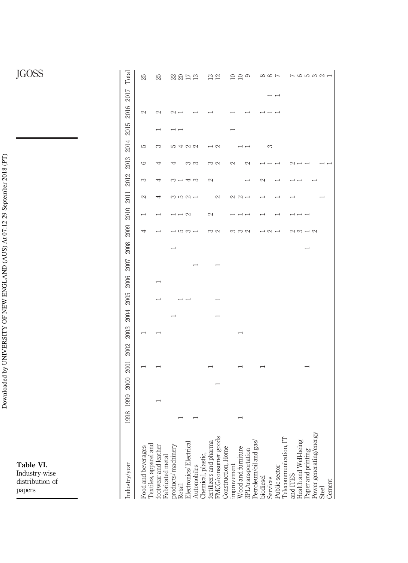| Industry/year                                                                                                                         |  | 1998 1999 2000 2001 | 2002 2003 2004 2005 2006 2007 2008 2009 2010 |  |  |  |        |        | 2011                  | 2012 2013 |   | 2014          | 2015 2016 |   | 2017 Total |                   |
|---------------------------------------------------------------------------------------------------------------------------------------|--|---------------------|----------------------------------------------|--|--|--|--------|--------|-----------------------|-----------|---|---------------|-----------|---|------------|-------------------|
| Food and beverages                                                                                                                    |  |                     |                                              |  |  |  |        |        | $\sim$                |           | G | 5             |           | 2 |            | 25                |
| Textiles, apparel and<br>footwear and leather                                                                                         |  |                     |                                              |  |  |  |        |        |                       |           |   |               |           |   |            | ನಿ                |
| products/machinery<br>Fabricated metal                                                                                                |  |                     |                                              |  |  |  |        |        |                       |           |   |               |           |   |            |                   |
| Electronics/Electrical<br>Automobiles<br>Retail                                                                                       |  |                     |                                              |  |  |  | ∞      | $\sim$ | C                     |           | ∞ | $\sim$ $\sim$ |           |   |            | 28212             |
| FMCG/consumer goods<br>fertilizers and pharma<br>Chemical, plastic,                                                                   |  |                     |                                              |  |  |  | $\sim$ | $\sim$ | $\sim$                | 2         |   |               |           |   |            |                   |
| Wood and furniture<br>Construction, Home<br>3PL/transportation<br>improvement                                                         |  |                     |                                              |  |  |  | $\sim$ |        | $\sim$<br>$\mathbf C$ |           |   |               |           |   |            |                   |
| Petroleum/oil and gas/<br>Public sector<br>biodiesel<br>Services                                                                      |  |                     |                                              |  |  |  |        |        |                       |           |   | S             |           |   |            |                   |
| Power generating/energy<br>Telecommunication, IT<br>Health and Well-being<br>Paper and printing<br>and ITES<br>Cement<br><b>Steel</b> |  |                     |                                              |  |  |  |        |        |                       |           |   |               |           |   |            | S<br>S<br>$\circ$ |
|                                                                                                                                       |  |                     |                                              |  |  |  |        |        |                       |           |   |               |           |   |            |                   |

JGOSS

Table VI. Industry-wise distribution of papers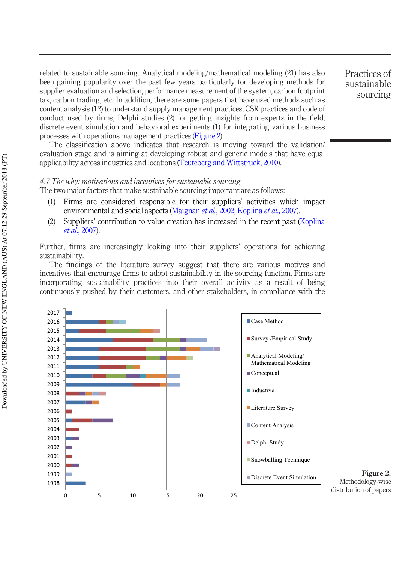related to sustainable sourcing. Analytical modeling/mathematical modeling (21) has also been gaining popularity over the past few years particularly for developing methods for supplier evaluation and selection, performance measurement of the system, carbon footprint tax, carbon trading, etc. In addition, there are some papers that have used methods such as content analysis (12) to understand supply management practices, CSR practices and code of conduct used by firms; Delphi studies (2) for getting insights from experts in the field; discrete event simulation and behavioral experiments (1) for integrating various business processes with operations management practices (Figure 2).

The classification above indicates that research is moving toward the validation/ evaluation stage and is aiming at developing robust and generic models that have equal applicability across industries and locations (Teuteberg and Wittstruck, 2010).

#### *4.7 The why: motivations and incentives for sustainable sourcing*

The two major factors that make sustainable sourcing important are as follows:

- (1) Firms are considered responsible for their suppliers' activities which impact environmental and social aspects (Maignan *et al.*, 2002; Koplina *et al*., 2007).
- (2) Suppliers' contribution to value creation has increased in the recent past (Koplina *et al*., 2007).

Further, firms are increasingly looking into their suppliers' operations for achieving sustainability.

The findings of the literature survey suggest that there are various motives and incentives that encourage firms to adopt sustainability in the sourcing function. Firms are incorporating sustainability practices into their overall activity as a result of being continuously pushed by their customers, and other stakeholders, in compliance with the



Practices of sustainable sourcing

Figure 2. Methodology-wise distribution of papers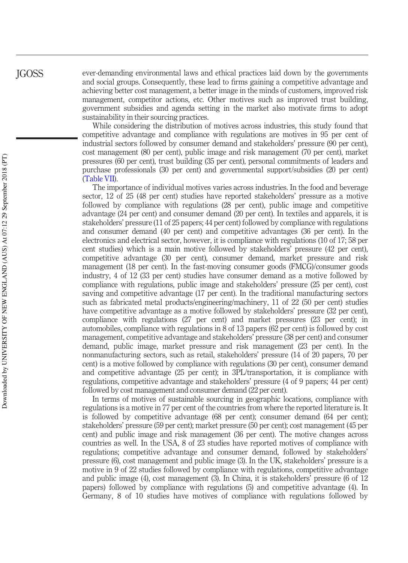ever-demanding environmental laws and ethical practices laid down by the governments and social groups. Consequently, these lead to firms gaining a competitive advantage and achieving better cost management, a better image in the minds of customers, improved risk management, competitor actions, etc. Other motives such as improved trust building, government subsidies and agenda setting in the market also motivate firms to adopt sustainability in their sourcing practices.

While considering the distribution of motives across industries, this study found that competitive advantage and compliance with regulations are motives in 95 per cent of industrial sectors followed by consumer demand and stakeholders' pressure (90 per cent), cost management (80 per cent), public image and risk management (70 per cent), market pressures (60 per cent), trust building (35 per cent), personal commitments of leaders and purchase professionals (30 per cent) and governmental support/subsidies (20 per cent) (Table VII).

The importance of individual motives varies across industries. In the food and beverage sector, 12 of 25 (48 per cent) studies have reported stakeholders' pressure as a motive followed by compliance with regulations (28 per cent), public image and competitive advantage (24 per cent) and consumer demand (20 per cent). In textiles and apparels, it is stakeholders' pressure (11 of 25 papers; 44 per cent) followed by compliance with regulations and consumer demand (40 per cent) and competitive advantages (36 per cent). In the electronics and electrical sector, however, it is compliance with regulations (10 of 17; 58 per cent studies) which is a main motive followed by stakeholders' pressure (42 per cent), competitive advantage (30 per cent), consumer demand, market pressure and risk management (18 per cent). In the fast-moving consumer goods (FMCG)/consumer goods industry, 4 of 12 (33 per cent) studies have consumer demand as a motive followed by compliance with regulations, public image and stakeholders' pressure (25 per cent), cost saving and competitive advantage (17 per cent). In the traditional manufacturing sectors such as fabricated metal products/engineering/machinery, 11 of 22 (50 per cent) studies have competitive advantage as a motive followed by stakeholders' pressure (32 per cent), compliance with regulations (27 per cent) and market pressures (23 per cent); in automobiles, compliance with regulations in 8 of 13 papers (62 per cent) is followed by cost management, competitive advantage and stakeholders' pressure (38 per cent) and consumer demand, public image, market pressure and risk management (23 per cent). In the nonmanufacturing sectors, such as retail, stakeholders' pressure (14 of 20 papers, 70 per cent) is a motive followed by compliance with regulations (30 per cent), consumer demand and competitive advantage (25 per cent); in 3PL/transportation, it is compliance with regulations, competitive advantage and stakeholders' pressure (4 of 9 papers; 44 per cent) followed by cost management and consumer demand (22 per cent).

In terms of motives of sustainable sourcing in geographic locations, compliance with regulations is a motive in 77 per cent of the countries from where the reported literature is. It is followed by competitive advantage (68 per cent); consumer demand (64 per cent); stakeholders' pressure (59 per cent); market pressure (50 per cent); cost management (45 per cent) and public image and risk management (36 per cent). The motive changes across countries as well. In the USA, 8 of 23 studies have reported motives of compliance with regulations; competitive advantage and consumer demand, followed by stakeholders' pressure (6), cost management and public image (3). In the UK, stakeholders' pressure is a motive in 9 of 22 studies followed by compliance with regulations, competitive advantage and public image (4), cost management (3). In China, it is stakeholders' pressure (6 of 12 papers) followed by compliance with regulations (5) and competitive advantage (4). In Germany, 8 of 10 studies have motives of compliance with regulations followed by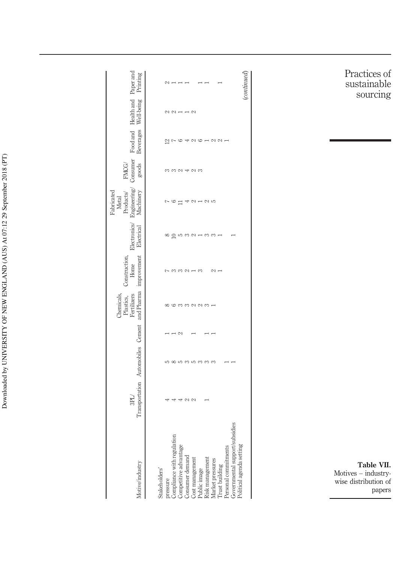| Motive/industry                | Transportation Automobiles Cement and Pharma<br>7H <sub>3</sub> |  | Fertilizers<br>Chemicals,<br>Plastics, | improvement<br>Construction,<br>Home | Electronics<br>Electrical | Engineering/<br>Pabricated<br>Products/<br>Machinery<br>Metal | goods<br>FMCG/ | Beverages | Consumer Food and Health and Paper and<br>Well-being | Printing          |
|--------------------------------|-----------------------------------------------------------------|--|----------------------------------------|--------------------------------------|---------------------------|---------------------------------------------------------------|----------------|-----------|------------------------------------------------------|-------------------|
| Stakeholders'                  |                                                                 |  |                                        |                                      |                           |                                                               |                |           |                                                      |                   |
| pressure                       |                                                                 |  |                                        |                                      |                           |                                                               |                |           |                                                      |                   |
| Compliance with regulation     |                                                                 |  |                                        |                                      |                           |                                                               |                |           | J                                                    |                   |
| Competitive advantage          |                                                                 |  |                                        |                                      |                           |                                                               |                |           |                                                      |                   |
| Consumer demano                |                                                                 |  |                                        |                                      |                           |                                                               |                |           |                                                      |                   |
| Cost managemen                 |                                                                 |  |                                        |                                      |                           |                                                               |                |           | C                                                    |                   |
| Public image                   |                                                                 |  |                                        |                                      |                           |                                                               |                |           |                                                      |                   |
| Risk managemen'                |                                                                 |  |                                        |                                      |                           |                                                               |                |           |                                                      |                   |
| Market pressures               |                                                                 |  |                                        |                                      |                           |                                                               |                |           |                                                      |                   |
| Trust building                 |                                                                 |  |                                        |                                      |                           |                                                               |                |           |                                                      |                   |
| Personal commitments           |                                                                 |  |                                        |                                      |                           |                                                               |                |           |                                                      |                   |
| Governmental support/subsidies |                                                                 |  |                                        |                                      |                           |                                                               |                |           |                                                      |                   |
| Political agenda setting       |                                                                 |  |                                        |                                      |                           |                                                               |                |           |                                                      | $_{\rm countmed}$ |
|                                |                                                                 |  |                                        |                                      |                           |                                                               |                |           |                                                      |                   |

Practices of sustainable sourcing

Table VII. Motives – industrywise distribution of papers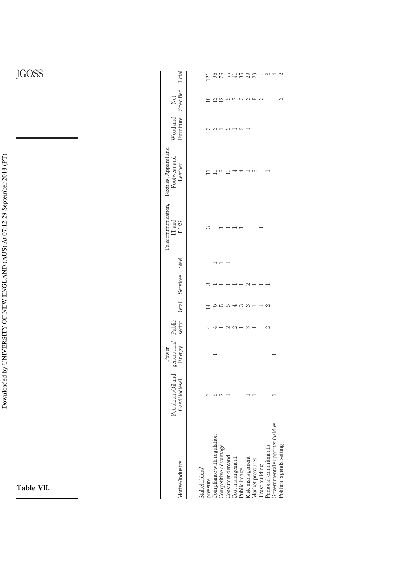| ĺ<br>l                                    |
|-------------------------------------------|
|                                           |
|                                           |
| í                                         |
|                                           |
| .<br>.<br>.                               |
| くりょく                                      |
|                                           |
| l                                         |
|                                           |
| í                                         |
| l<br>ı                                    |
| ı                                         |
|                                           |
| ֪֪ׅ֚֬֝֬֝֬֝֬֝֬֝֬֝֬֝֬֝֬֝֬֝֬֝֬֝֬֝֬֝ <b>֟</b> |
|                                           |
| l<br>ı                                    |

| <b>JGOSS</b> | Total                                            | $\vec{\Omega}$ % $\kappa$ $\kappa$ $\vec{\Omega}$ $\approx$ $\omega$ $\alpha$ $\omega$ $\sim$ $\omega$                                                                                                                                                                                     |
|--------------|--------------------------------------------------|--------------------------------------------------------------------------------------------------------------------------------------------------------------------------------------------------------------------------------------------------------------------------------------------|
|              | Specified<br>Not                                 | <b>1992</b> 1975 1989 1999<br>2                                                                                                                                                                                                                                                            |
|              | Wood and<br>Fumiture                             | $\mathfrak{O} \mathfrak{O} \rightarrow \mathfrak{O} \rightarrow \mathfrak{O} \rightarrow \mathfrak{O} \rightarrow$                                                                                                                                                                         |
|              | Textiles, Apparel and<br>Footwear and<br>Leather | 12992<br>4<br>$\frac{1}{3}$<br>₩                                                                                                                                                                                                                                                           |
|              | Telecommunication,<br>IT and<br>ITES             | 3<br>$\begin{array}{c} \begin{array}{c} \text{\textbf{1}} & \text{\textbf{1}} & \text{\textbf{1}} & \text{\textbf{1}} \\ \text{\textbf{2}} & \text{\textbf{3}} & \text{\textbf{4}} & \text{\textbf{1}} \end{array} \end{array} \end{array}$<br>⊣                                           |
|              | Steel                                            | $- - -$                                                                                                                                                                                                                                                                                    |
|              | Services                                         | ---------<br>S                                                                                                                                                                                                                                                                             |
|              | Retail                                           | 655433112<br>$\overline{14}$                                                                                                                                                                                                                                                               |
|              | Public<br>sector                                 | 4122131<br>$\mathcal{C}$<br>↤                                                                                                                                                                                                                                                              |
|              | $\mbox{generation}/\mbox{}$<br>Energy<br>Power   |                                                                                                                                                                                                                                                                                            |
|              | Petroleum/Oil and<br>Gas/Biodiesel               | 6021<br>$\overline{ }$                                                                                                                                                                                                                                                                     |
| Table VII.   | Motive/industry                                  | bsidies<br>Compliance with regulation<br>Governmental support/sul<br>Political agenda setting<br>Competitive advantage<br>Personal commitments<br>Consumer demand<br>Risk management<br>Cost management<br>Public image<br>Market pressures<br>Trust building<br>Stakeholders'<br>pressure |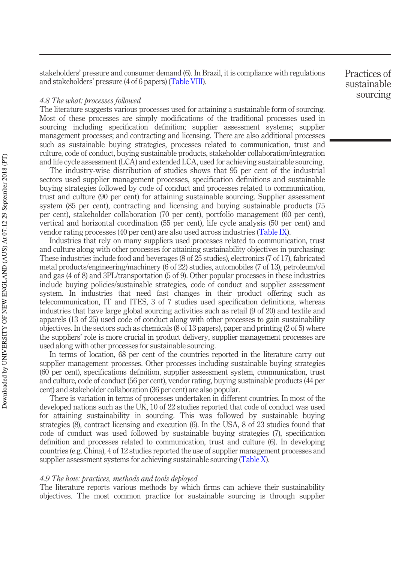stakeholders' pressure and consumer demand (6). In Brazil, it is compliance with regulations and stakeholders' pressure (4 of 6 papers) (Table VIII).

#### *4.8 The what: processes followed*

The literature suggests various processes used for attaining a sustainable form of sourcing. Most of these processes are simply modifications of the traditional processes used in sourcing including specification definition; supplier assessment systems; supplier management processes; and contracting and licensing. There are also additional processes such as sustainable buying strategies, processes related to communication, trust and culture, code of conduct, buying sustainable products, stakeholder collaboration/integration and life cycle assessment (LCA) and extended LCA, used for achieving sustainable sourcing.

The industry-wise distribution of studies shows that 95 per cent of the industrial sectors used supplier management processes, specification definitions and sustainable buying strategies followed by code of conduct and processes related to communication, trust and culture (90 per cent) for attaining sustainable sourcing. Supplier assessment system (85 per cent), contracting and licensing and buying sustainable products (75 per cent), stakeholder collaboration (70 per cent), portfolio management (60 per cent), vertical and horizontal coordination (55 per cent), life cycle analysis (50 per cent) and vendor rating processes (40 per cent) are also used across industries (Table IX).

Industries that rely on many suppliers used processes related to communication, trust and culture along with other processes for attaining sustainability objectives in purchasing: These industries include food and beverages (8 of 25 studies), electronics (7 of 17), fabricated metal products/engineering/machinery (6 of 22) studies, automobiles (7 of 13), petroleum/oil and gas (4 of 8) and 3PL/transportation (5 of 9). Other popular processes in these industries include buying policies/sustainable strategies, code of conduct and supplier assessment system. In industries that need fast changes in their product offering such as telecommunication, IT and ITES, 3 of 7 studies used specification definitions, whereas industries that have large global sourcing activities such as retail (9 of 20) and textile and apparels (13 of 25) used code of conduct along with other processes to gain sustainability objectives. In the sectors such as chemicals  $(8 \text{ of } 13 \text{ papers})$ , paper and printing  $(2 \text{ of } 5)$  where the suppliers' role is more crucial in product delivery, supplier management processes are used along with other processes for sustainable sourcing.

In terms of location, 68 per cent of the countries reported in the literature carry out supplier management processes. Other processes including sustainable buying strategies (60 per cent), specifications definition, supplier assessment system, communication, trust and culture, code of conduct (56 per cent), vendor rating, buying sustainable products (44 per cent) and stakeholder collaboration (36 per cent) are also popular.

There is variation in terms of processes undertaken in different countries. In most of the developed nations such as the UK, 10 of 22 studies reported that code of conduct was used for attaining sustainability in sourcing. This was followed by sustainable buying strategies (8), contract licensing and execution (6). In the USA, 8 of 23 studies found that code of conduct was used followed by sustainable buying strategies (7), specification definition and processes related to communication, trust and culture (6). In developing countries (e.g. China), 4 of 12 studies reported the use of supplier management processes and supplier assessment systems for achieving sustainable sourcing (Table X).

#### *4.9 The how: practices, methods and tools deployed*

The literature reports various methods by which firms can achieve their sustainability objectives. The most common practice for sustainable sourcing is through supplier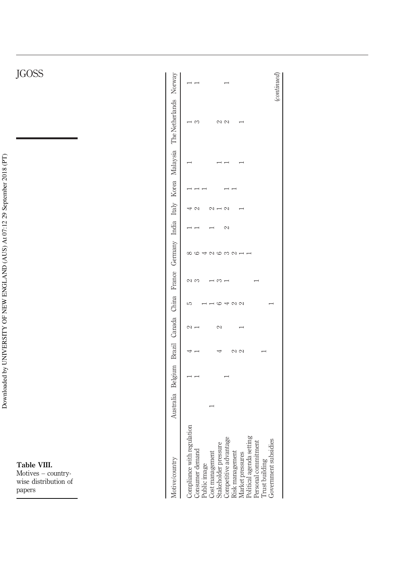Table VIII. Motives – countrywise distribution of papers

| Motive/country                                                                  |  |  |  |  |  | Australia Belgium Brazil Canada China France Germany India Italy Korea Malaysia The Netherlands Norway |  |
|---------------------------------------------------------------------------------|--|--|--|--|--|--------------------------------------------------------------------------------------------------------|--|
| Compliance with regulation<br>Consumer deman<br>Cost management<br>Public image |  |  |  |  |  |                                                                                                        |  |
| Competitive advantage<br>Stakeholder pressure<br>Risk management                |  |  |  |  |  |                                                                                                        |  |
| Personal commitmen<br>Political agenda setti<br>Market pressures                |  |  |  |  |  |                                                                                                        |  |
| Government subsidies<br>Trust building                                          |  |  |  |  |  |                                                                                                        |  |

## JGOSS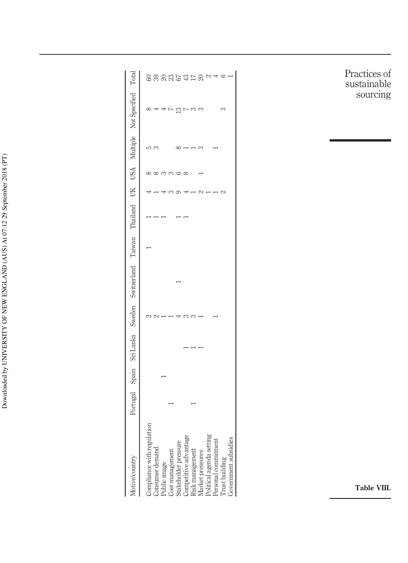| Motive/country                        |  |  |  |  |  | Portugal Spain Svi-Lanka Sweden Switzerland Taiwan Thailand UK USA Multiple NotSpecified Total |   |
|---------------------------------------|--|--|--|--|--|------------------------------------------------------------------------------------------------|---|
| Compliance with regulation            |  |  |  |  |  |                                                                                                |   |
| Consumer demand                       |  |  |  |  |  |                                                                                                |   |
| Public image                          |  |  |  |  |  |                                                                                                |   |
| Cost managemer                        |  |  |  |  |  |                                                                                                | ೫ |
| Stakeholder pressur                   |  |  |  |  |  |                                                                                                |   |
| Connetitive ac                        |  |  |  |  |  |                                                                                                |   |
| Risk managemen                        |  |  |  |  |  |                                                                                                |   |
| Market pressures                      |  |  |  |  |  |                                                                                                |   |
| Political agenda sett                 |  |  |  |  |  |                                                                                                |   |
| Personal commitment                   |  |  |  |  |  |                                                                                                |   |
| Government subsidie<br>Trust building |  |  |  |  |  |                                                                                                |   |
|                                       |  |  |  |  |  |                                                                                                |   |

Practices of sustainable sourcing

Table VIII.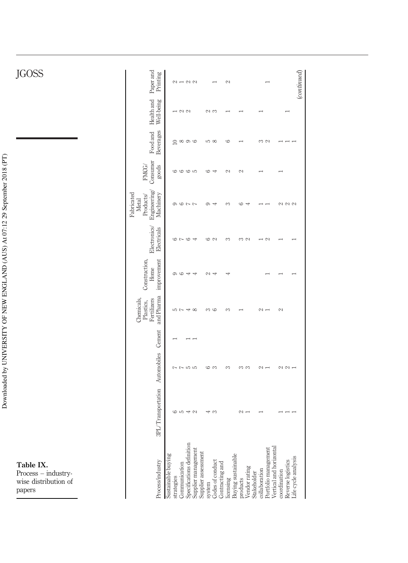Table IX. Process – industrywise distrib papers

|                       | Construction<br>improvement<br>Home              | అ<br>₩<br>ග                                                                                                                  |
|-----------------------|--------------------------------------------------|------------------------------------------------------------------------------------------------------------------------------|
|                       | Chemicals,<br>Plastics,<br>Fertilizers           | $\infty$<br>⇥<br>ما                                                                                                          |
|                       |                                                  |                                                                                                                              |
|                       |                                                  | LO.<br>5                                                                                                                     |
|                       | 3PL/Transportation Automobiles Cement and Pharma | $\sim$<br>S<br>4                                                                                                             |
| ndustry-<br>bution of | Process/industry                                 | Specifications definition<br>Supplier management<br>Supplier assessment<br>Sustainable buying<br>Communication<br>strategies |

| (continued)<br>$\sim$<br>¢<br>J<br>$\sim$ $\sim$<br>∞<br>Beverages<br>C<br>$\infty$<br>$\circ$<br>$\infty$<br>Ğ<br>J<br>عا<br>goods<br>G<br>$\circ$<br>Ю<br>N<br>þ<br>G<br>Electricals<br>t<br>$\circ$<br>improvement<br>3PL/Transportation Automobiles Cement<br>Ю |  |  | Chemicals,<br>Fertilizers<br>Plastics, | Construction,<br>Home | Electronics/ | Engineering/<br>Fabricated<br>Products/<br>Metal | FMCG/ | Consumer Food and Health and Paper and |          |
|---------------------------------------------------------------------------------------------------------------------------------------------------------------------------------------------------------------------------------------------------------------------|--|--|----------------------------------------|-----------------------|--------------|--------------------------------------------------|-------|----------------------------------------|----------|
|                                                                                                                                                                                                                                                                     |  |  | and Pharma                             |                       |              | Machinery                                        |       | Well-being                             | Printing |
|                                                                                                                                                                                                                                                                     |  |  |                                        |                       |              |                                                  |       |                                        |          |
|                                                                                                                                                                                                                                                                     |  |  |                                        |                       |              |                                                  |       |                                        |          |
|                                                                                                                                                                                                                                                                     |  |  |                                        |                       |              |                                                  |       |                                        |          |
|                                                                                                                                                                                                                                                                     |  |  |                                        |                       |              |                                                  |       |                                        |          |
|                                                                                                                                                                                                                                                                     |  |  |                                        |                       |              |                                                  |       |                                        |          |
|                                                                                                                                                                                                                                                                     |  |  |                                        |                       |              |                                                  |       |                                        |          |
|                                                                                                                                                                                                                                                                     |  |  |                                        |                       |              |                                                  |       |                                        |          |
|                                                                                                                                                                                                                                                                     |  |  |                                        |                       |              |                                                  |       |                                        |          |
|                                                                                                                                                                                                                                                                     |  |  |                                        |                       |              |                                                  |       |                                        |          |
|                                                                                                                                                                                                                                                                     |  |  |                                        |                       |              |                                                  |       |                                        |          |
|                                                                                                                                                                                                                                                                     |  |  |                                        |                       |              |                                                  |       |                                        |          |
|                                                                                                                                                                                                                                                                     |  |  |                                        |                       |              |                                                  |       |                                        |          |
|                                                                                                                                                                                                                                                                     |  |  |                                        |                       |              |                                                  |       |                                        |          |
|                                                                                                                                                                                                                                                                     |  |  |                                        |                       |              |                                                  |       |                                        |          |
|                                                                                                                                                                                                                                                                     |  |  |                                        |                       |              |                                                  |       |                                        |          |
|                                                                                                                                                                                                                                                                     |  |  |                                        |                       |              |                                                  |       |                                        |          |
|                                                                                                                                                                                                                                                                     |  |  |                                        |                       |              |                                                  |       |                                        |          |
|                                                                                                                                                                                                                                                                     |  |  |                                        |                       |              |                                                  |       |                                        |          |
|                                                                                                                                                                                                                                                                     |  |  |                                        |                       |              |                                                  |       |                                        |          |
|                                                                                                                                                                                                                                                                     |  |  |                                        |                       |              |                                                  |       |                                        |          |

JGOSS

Downloaded by UNIVERSITY OF NEW ENGLAND (AUS) At 07:12 29 September 2018 (PT)

Downloaded by UNIVERSITY OF NEW ENGLAND (AUS) At 07:12 29 September 2018 (PT)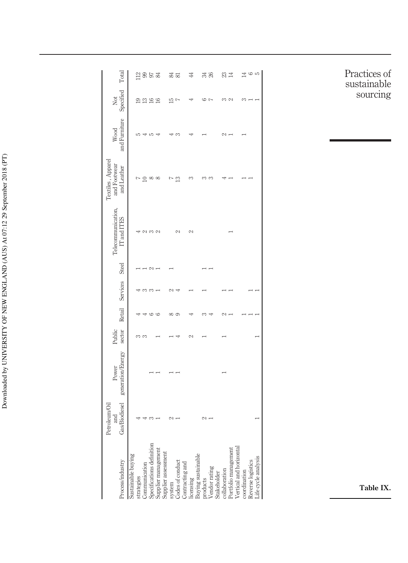|                                            | Petroleum/Oil               |                            |                  |                 |              |                                   | Textiles, Apparel           |                       |                  |           |
|--------------------------------------------|-----------------------------|----------------------------|------------------|-----------------|--------------|-----------------------------------|-----------------------------|-----------------------|------------------|-----------|
| Process/industry                           | <b>Gas/Biodiesel</b><br>and | generation/Energy<br>Power | sector<br>Public | Retail Services | <b>Steel</b> | Telecommunication,<br>IT and ITES | and Footwear<br>and Leather | and Furniture<br>Wood | Specified<br>Not | Total     |
| Sustainable buying                         |                             |                            |                  |                 |              |                                   |                             |                       |                  |           |
| strategies                                 |                             |                            |                  |                 |              |                                   |                             |                       |                  | 12        |
| Communication                              |                             |                            |                  |                 |              |                                   |                             |                       | $\mathbf{r}_3$   |           |
| Specifications definition                  |                             |                            |                  | ¢               |              |                                   |                             |                       | $^{16}$          | <b>85</b> |
| Supplier management<br>Supplier assessment |                             |                            |                  |                 |              |                                   |                             |                       | $\frac{6}{2}$    | 34        |
| system                                     |                             |                            |                  |                 |              |                                   |                             |                       |                  | ℬ         |
| Codes of conduct                           |                             |                            |                  |                 |              |                                   |                             |                       |                  |           |
| Contracting and                            |                             |                            |                  |                 |              |                                   |                             |                       |                  |           |
| licensing                                  |                             |                            |                  |                 |              |                                   |                             |                       |                  |           |
| Buying sustainable                         |                             |                            |                  |                 |              |                                   |                             |                       |                  |           |
| products                                   |                             |                            |                  |                 |              |                                   |                             |                       |                  |           |
| Vendor rating                              |                             |                            |                  |                 |              |                                   |                             |                       |                  | S         |
| Stakeholder                                |                             |                            |                  |                 |              |                                   |                             |                       |                  |           |
| collaboration                              |                             |                            |                  |                 |              |                                   |                             |                       |                  | ಔ         |
| Portfolio management                       |                             |                            |                  |                 |              |                                   |                             |                       |                  |           |
| Vertical and horizontal                    |                             |                            |                  |                 |              |                                   |                             |                       |                  |           |
| coordination                               |                             |                            |                  |                 |              |                                   |                             |                       |                  |           |
| Reverse logistics                          |                             |                            |                  |                 |              |                                   |                             |                       |                  |           |
| Life cycle analysis                        |                             |                            |                  |                 |              |                                   |                             |                       |                  | S         |
|                                            |                             |                            |                  |                 |              |                                   |                             |                       |                  |           |

Table IX.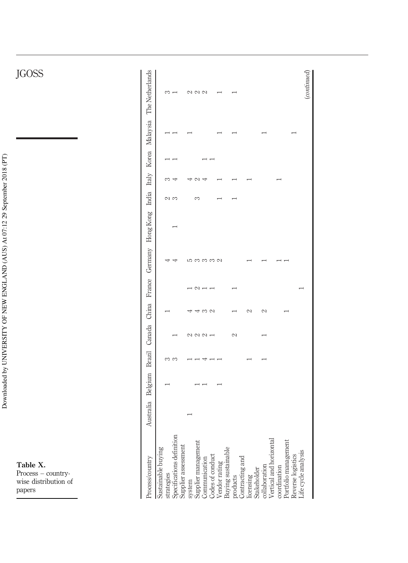| Table X.             |
|----------------------|
| $Process - country$  |
| wise distribution of |
| papers               |
|                      |

| Process/country                                                                                                                                                                                                                                                          |  |               |   |        |        |     |   |  | Australia Belgium Brazil Canada China France Germany HongKong India Italy Korea Malaysia The Netherlands |
|--------------------------------------------------------------------------------------------------------------------------------------------------------------------------------------------------------------------------------------------------------------------------|--|---------------|---|--------|--------|-----|---|--|----------------------------------------------------------------------------------------------------------|
| Sustainable buying                                                                                                                                                                                                                                                       |  |               |   |        |        |     |   |  |                                                                                                          |
|                                                                                                                                                                                                                                                                          |  |               |   |        |        |     |   |  |                                                                                                          |
| strategies<br>Specifications definition                                                                                                                                                                                                                                  |  |               |   |        |        | လ က |   |  |                                                                                                          |
| Supplier assessment<br>system<br>system<br>communication<br>Communication<br>Communication<br>Dedes of condect<br>Porto and borizontal<br>products<br>contaboration<br>collaboration<br>Stakeholder<br>Vertical and horizontal<br>Vertical and horizontal<br>Portfolio m |  |               |   |        |        |     |   |  |                                                                                                          |
|                                                                                                                                                                                                                                                                          |  | c<br>J        |   |        |        |     |   |  |                                                                                                          |
|                                                                                                                                                                                                                                                                          |  | $\mathcal{C}$ |   | ¢<br>4 |        | S   | C |  | 2<br>2                                                                                                   |
|                                                                                                                                                                                                                                                                          |  | $\mathbb{Z}$  | S |        | ¢      |     |   |  | $\mathbb{C}$                                                                                             |
|                                                                                                                                                                                                                                                                          |  |               | 2 |        | S      |     |   |  |                                                                                                          |
|                                                                                                                                                                                                                                                                          |  |               |   |        | C<br>√ |     |   |  |                                                                                                          |
|                                                                                                                                                                                                                                                                          |  |               |   |        |        |     |   |  |                                                                                                          |
|                                                                                                                                                                                                                                                                          |  | 2             |   |        |        |     |   |  |                                                                                                          |
|                                                                                                                                                                                                                                                                          |  |               |   |        |        |     |   |  |                                                                                                          |
|                                                                                                                                                                                                                                                                          |  |               | N |        |        |     |   |  |                                                                                                          |
|                                                                                                                                                                                                                                                                          |  |               |   |        |        |     |   |  |                                                                                                          |
|                                                                                                                                                                                                                                                                          |  |               | N |        |        |     |   |  |                                                                                                          |
|                                                                                                                                                                                                                                                                          |  |               |   |        |        |     |   |  |                                                                                                          |
|                                                                                                                                                                                                                                                                          |  |               |   |        |        |     |   |  |                                                                                                          |
|                                                                                                                                                                                                                                                                          |  |               |   |        |        |     |   |  |                                                                                                          |
|                                                                                                                                                                                                                                                                          |  |               |   |        |        |     |   |  |                                                                                                          |
|                                                                                                                                                                                                                                                                          |  |               |   |        |        |     |   |  | $_{\footnotesize {continued}}$                                                                           |
|                                                                                                                                                                                                                                                                          |  |               |   |        |        |     |   |  |                                                                                                          |

JGOSS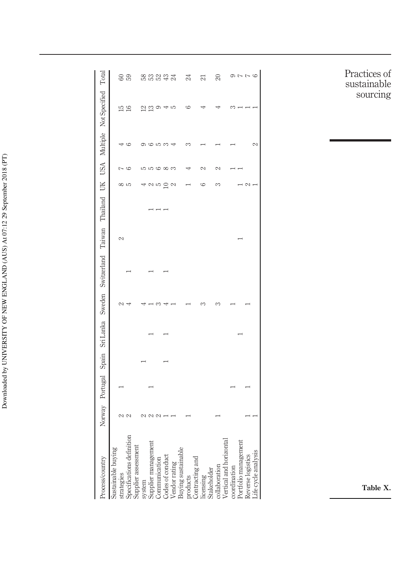| Process/country                  |  |  |  |  |  | Norway Portugal Spain Sri Lanka Sweden Switzerland Taiwan Thailand UK USA Multiple Not Specified Total |              |
|----------------------------------|--|--|--|--|--|--------------------------------------------------------------------------------------------------------|--------------|
| Sustainable buving<br>strategies |  |  |  |  |  |                                                                                                        | 3            |
| Specifications definition        |  |  |  |  |  |                                                                                                        | 65           |
| Supplier assessment<br>system    |  |  |  |  |  |                                                                                                        |              |
| Supplier managemen               |  |  |  |  |  |                                                                                                        | 8888         |
| Communication                    |  |  |  |  |  | ာ                                                                                                      |              |
| Codes of conduct                 |  |  |  |  |  |                                                                                                        |              |
| Vendor rating                    |  |  |  |  |  |                                                                                                        | $\mathbb{Z}$ |
| Buying sustamable                |  |  |  |  |  |                                                                                                        |              |
| products                         |  |  |  |  |  |                                                                                                        | ₹            |
| Contracting and                  |  |  |  |  |  |                                                                                                        |              |
| licensing                        |  |  |  |  |  |                                                                                                        | 51           |
| Stakeholder                      |  |  |  |  |  |                                                                                                        |              |
| collaboration                    |  |  |  |  |  |                                                                                                        | Z            |
| Vertical and horizo              |  |  |  |  |  |                                                                                                        |              |
| coordination                     |  |  |  |  |  |                                                                                                        |              |
| Portfolio managemen              |  |  |  |  |  |                                                                                                        |              |
| Reverse logistics                |  |  |  |  |  |                                                                                                        |              |
| Life cycle analysis              |  |  |  |  |  |                                                                                                        |              |
|                                  |  |  |  |  |  |                                                                                                        |              |

Practices of sustainable sourcing

Table X.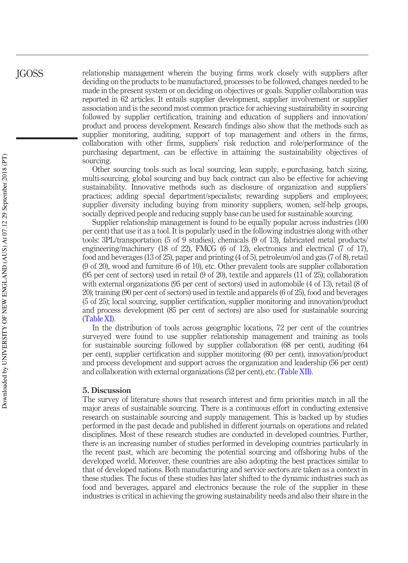relationship management wherein the buying firms work closely with suppliers after deciding on the products to be manufactured, processes to be followed, changes needed to be made in the present system or on deciding on objectives or goals. Supplier collaboration was reported in 62 articles. It entails supplier development, supplier involvement or supplier association and is the second most common practice for achieving sustainability in sourcing followed by supplier certification, training and education of suppliers and innovation/ product and process development. Research findings also show that the methods such as supplier monitoring, auditing, support of top management and others in the firms, collaboration with other firms, suppliers' risk reduction and role/performance of the purchasing department, can be effective in attaining the sustainability objectives of sourcing.

Other sourcing tools such as local sourcing, lean supply, e-purchasing, batch sizing, multi-sourcing, global sourcing and buy back contract can also be effective for achieving sustainability. Innovative methods such as disclosure of organization and suppliers' practices; adding special department/specialists; rewarding suppliers and employees; supplier diversity including buying from minority suppliers, women, self-help groups, socially deprived people and reducing supply base can be used for sustainable sourcing.

Supplier relationship management is found to be equally popular across industries (100 per cent) that use it as a tool. It is popularly used in the following industries along with other tools: 3PL/transportation (5 of 9 studies), chemicals (9 of 13), fabricated metal products/ engineering/machinery (18 of 22), FMCG (6 of 12), electronics and electrical (7 of 17), food and beverages (13 of 25), paper and printing (4 of 5), petroleum/oil and gas (7 of 8), retail (9 of 20), wood and furniture (6 of 10), etc. Other prevalent tools are supplier collaboration (95 per cent of sectors) used in retail (9 of 20), textile and apparels (11 of 25); collaboration with external organizations (95 per cent of sectors) used in automobile (4 of 13), retail (8 of 20); training (90 per cent of sectors) used in textile and apparels (6 of 25), food and beverages (5 of 25); local sourcing, supplier certification, supplier monitoring and innovation/product and process development (85 per cent of sectors) are also used for sustainable sourcing (Table XI).

In the distribution of tools across geographic locations, 72 per cent of the countries surveyed were found to use supplier relationship management and training as tools for sustainable sourcing followed by supplier collaboration (68 per cent), auditing (64 per cent), supplier certification and supplier monitoring (60 per cent), innovation/product and process development and support across the organization and leadership (56 per cent) and collaboration with external organizations (52 per cent), etc. (Table XII).

#### 5. Discussion

The survey of literature shows that research interest and firm priorities match in all the major areas of sustainable sourcing. There is a continuous effort in conducting extensive research on sustainable sourcing and supply management. This is backed up by studies performed in the past decade and published in different journals on operations and related disciplines. Most of these research studies are conducted in developed countries. Further, there is an increasing number of studies performed in developing countries particularly in the recent past, which are becoming the potential sourcing and offshoring hubs of the developed world. Moreover, these countries are also adopting the best practices similar to that of developed nations. Both manufacturing and service sectors are taken as a context in these studies. The focus of these studies has later shifted to the dynamic industries such as food and beverages, apparel and electronics because the role of the supplier in these industries is critical in achieving the growing sustainability needs and also their share in the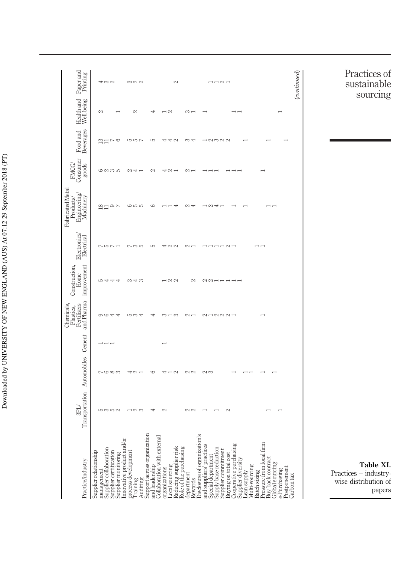| Paper and<br>Printing                                      | $+\infty$                                                                                                      | <b>322</b>                                                                                                                                               | 2                                                                                                            | $\frac{1}{2}$                                                                                                                                                                                                                           |                                                                                                                                |
|------------------------------------------------------------|----------------------------------------------------------------------------------------------------------------|----------------------------------------------------------------------------------------------------------------------------------------------------------|--------------------------------------------------------------------------------------------------------------|-----------------------------------------------------------------------------------------------------------------------------------------------------------------------------------------------------------------------------------------|--------------------------------------------------------------------------------------------------------------------------------|
| Health and<br>Well-being                                   | $\sim$                                                                                                         | $\sim$                                                                                                                                                   | $\sim$<br>m                                                                                                  |                                                                                                                                                                                                                                         |                                                                                                                                |
| Food and<br>Beverages                                      | $\sim$ $\circ$<br>$\mathbb{Z}$ $\Xi$                                                                           | 555<br>Ю                                                                                                                                                 | $\sim$                                                                                                       | <b>QQQQ</b>                                                                                                                                                                                                                             |                                                                                                                                |
| Consumer<br>FMCG/<br>goods                                 | <b>COMMO</b>                                                                                                   | $\sim$<br>$\sim$                                                                                                                                         | 4<br>$\sim$                                                                                                  |                                                                                                                                                                                                                                         |                                                                                                                                |
| Fabricated Metal<br>Products/<br>Engineering/<br>Machinery | G L<br>$\frac{8}{11}$                                                                                          | LO LC                                                                                                                                                    |                                                                                                              |                                                                                                                                                                                                                                         |                                                                                                                                |
| Electronics/<br>Electrical                                 | 101.                                                                                                           | က ၊ က<br>ما                                                                                                                                              | 1 U<br>N                                                                                                     | ⊣∼                                                                                                                                                                                                                                      |                                                                                                                                |
| improvement<br>Construction.<br>Home                       | 4<br>4<br>4<br>ما                                                                                              | ∞<br>⊄ ಌ                                                                                                                                                 | $\frac{1}{2}$                                                                                                | $\mathop{\mathsf{num}}\nolimits$                                                                                                                                                                                                        |                                                                                                                                |
| and Pharma<br>Plastics,<br>Fertilizers<br>Chemicals,       | ග ග<br>₩<br>↤                                                                                                  |                                                                                                                                                          | œ                                                                                                            | -222<br>$\sim$ $-$                                                                                                                                                                                                                      |                                                                                                                                |
|                                                            |                                                                                                                |                                                                                                                                                          |                                                                                                              |                                                                                                                                                                                                                                         |                                                                                                                                |
|                                                            | <u>ဖေ</u> ထက                                                                                                   |                                                                                                                                                          | ان ا<br>21 U                                                                                                 | N W                                                                                                                                                                                                                                     |                                                                                                                                |
| Transportation Automobiles Cement<br>7HZ                   | 10 m m m                                                                                                       | $\sim$                                                                                                                                                   | $\sim$ $\sim$<br>$\sim$                                                                                      |                                                                                                                                                                                                                                         |                                                                                                                                |
| Practice/industry                                          | Supplier collaboration<br>Supplier relationship<br>Supplier certification<br>Supplier monitoring<br>management | Support across organization<br>Collaboration with external<br>Innovative product and/or<br>process development<br>and leadership<br>Training<br>Auditing | Reducing supplier risk<br>Role of the purchasing<br>Local sourcing<br>organizations<br>department<br>Rewards | Disclosure of organization's<br>Cooperative purchasing<br>Supplier diversity<br>and suppliers' practices<br>Supply base reduction<br>Supplier commitment<br>Buying on total cost<br>Special department<br>Multi-sourcing<br>Lean supply | Pressure from focal firm<br>Buy back contract<br>Global sourcing<br>Postponement<br>e-Purchasing<br>Batch sizing<br>Carbon tax |

Practices of sustainable sourcing

(*continued*)

Table XI. Practices – industrywise distribution of papers

 $\mathbf l$ 

Downloaded by UNIVERSITY OF NEW ENGLAND (AUS) At 07:12 29 September 2018 (PT) Downloaded by UNIVERSITY OF NEW ENGLAND (AUS) At 07:12 29 September 2018 (PT)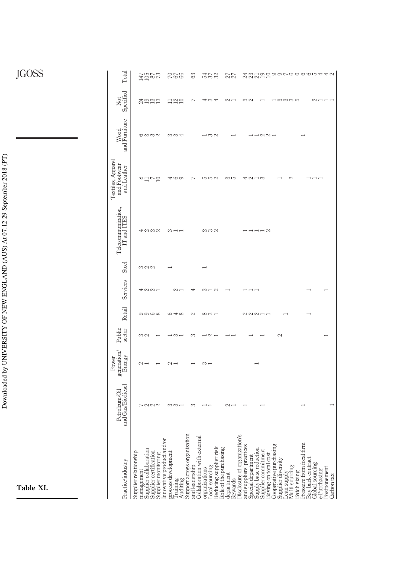| <b>JGOSS</b> | Total                                            | 325F                                                                                                           | $857$                                                                  | ි                                                                            | ವೆಸಿ ನಿ                                                   | $\widetilde{27}$                                | みおみやおりの766665442                                                                                                                                                                                                      |                                                                                                                                                  |
|--------------|--------------------------------------------------|----------------------------------------------------------------------------------------------------------------|------------------------------------------------------------------------|------------------------------------------------------------------------------|-----------------------------------------------------------|-------------------------------------------------|-----------------------------------------------------------------------------------------------------------------------------------------------------------------------------------------------------------------------|--------------------------------------------------------------------------------------------------------------------------------------------------|
|              | Specified<br>Not                                 | <b>AAAA</b>                                                                                                    | 112                                                                    | $\sim$                                                                       | ものも                                                       | $\sim$ $-$                                      | $\Box$ $\Box$ $\Box$<br>$\infty$                                                                                                                                                                                      | $\sim$ $ -$                                                                                                                                      |
|              | and Furniture<br>Wood                            | $\circ$ $\circ$ $\circ$ $\circ$                                                                                | $\omega \omega$ 4                                                      |                                                                              | $\overline{\phantom{a}}$ $\overline{\phantom{a}}$         | $\overline{\phantom{0}}$                        | $1 - 221$                                                                                                                                                                                                             |                                                                                                                                                  |
|              | Textiles, Apparel<br>and Footwear<br>and Leather | $^{\circ}$ $\overline{a}$ $\overline{b}$ $\overline{c}$                                                        | 400                                                                    | $\sim$                                                                       | 5000                                                      | ကဟ                                              | $40 - 5$<br>$\overline{\phantom{0}}$                                                                                                                                                                                  | $\mathcal{C}$<br>$\overline{\phantom{a}}$ $\overline{\phantom{a}}$                                                                               |
|              | Telecommunication,<br>IT and ITES                | 4222                                                                                                           | $\infty$ $ -$                                                          |                                                                              | $\Omega$ $\Omega$                                         |                                                 | 111111                                                                                                                                                                                                                |                                                                                                                                                  |
|              | Steel                                            | 322                                                                                                            |                                                                        |                                                                              |                                                           |                                                 |                                                                                                                                                                                                                       |                                                                                                                                                  |
|              | Services                                         | 4221                                                                                                           | $\sim$                                                                 | ⊣                                                                            | $m - n$                                                   |                                                 |                                                                                                                                                                                                                       | $\overline{\phantom{0}}$                                                                                                                         |
|              | Retail                                           | ၈၈ ေ တ                                                                                                         | $\infty$ $\rightarrow \infty$                                          | 2                                                                            | $\infty$ $\infty$ $\rightarrow$                           |                                                 | $\mathop{\mathsf{N}}\nolimits\mathop{\mathsf{N}}\nolimits\mathop{\mathsf{N}}\nolimits\mathop{\mathsf{H}}\nolimits$                                                                                                    |                                                                                                                                                  |
|              | Public<br>sector                                 | $\infty$<br>$\overline{\phantom{0}}$                                                                           | $\overline{\phantom{0}}$ $\overline{\phantom{0}}$                      | ന                                                                            | $\overline{\sim}$ $\sim$                                  | $\overline{\phantom{a}}$                        | $\sim$<br>$\overline{ }$<br>$\overline{\phantom{0}}$                                                                                                                                                                  | $\overline{\phantom{0}}$                                                                                                                         |
|              | generation/<br>Energy<br>Power                   | $\sim$ $-$                                                                                                     | $\sim$ $-$                                                             |                                                                              | $\infty$ $-$                                              |                                                 |                                                                                                                                                                                                                       |                                                                                                                                                  |
|              | and Gas/Biodiesel<br>Petroleum/Oil               |                                                                                                                | $\infty$ $\infty$ $\leftarrow$                                         | ന                                                                            | $\overline{\phantom{a}}$                                  | $\sim$ $-$                                      | $\overline{\phantom{0}}$                                                                                                                                                                                              | $\overline{\phantom{0}}$<br>$\overline{\phantom{0}}$                                                                                             |
| Table XI.    | Practice/industry                                | Supplier collaboration<br>Supplier certification<br>Supplier relationship<br>Supplier monitoring<br>management | movative product and/or<br>process development<br>Auditing<br>Training | Support across organization<br>Collaboration with external<br>and leadership | Reducing supplier risk<br>Local sourcing<br>organizations | Role of the purchasing<br>department<br>Rewards | Disclosure of organization's<br>and suppliers' practices<br>Cooperative purchasing<br>Supply base reduction<br>Supplier commitment<br>Buying on total cost<br>Special department<br>Supplier diversity<br>Lean supply | Pressure from focal firm<br>Buy back contract<br>Global sourcing<br>Multi-sourcing<br>Postponement<br>e-Purchasing<br>Batch sizing<br>Carbon tax |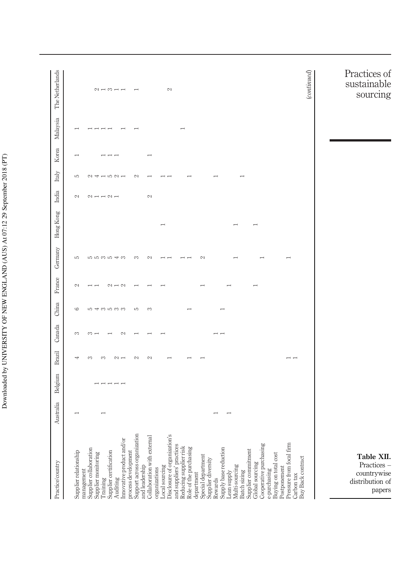| Practice/country                                                                                                                                                                                                                                                                                                | Australia | Belgium | Brazil                                              | Canada      | China                                       | France                                | Germany           | Hong Kong | India          | Italy                      | Korea                    | Malaysia | The Netherlands                                               |
|-----------------------------------------------------------------------------------------------------------------------------------------------------------------------------------------------------------------------------------------------------------------------------------------------------------------|-----------|---------|-----------------------------------------------------|-------------|---------------------------------------------|---------------------------------------|-------------------|-----------|----------------|----------------------------|--------------------------|----------|---------------------------------------------------------------|
| Supplier relationship                                                                                                                                                                                                                                                                                           |           |         | 4                                                   | S           | $\circ$                                     | 2                                     | S                 |           | $\sim$         | S                          |                          |          |                                                               |
| Innovative product and/or<br>Supplier collaboration<br>Supplier certification<br>Supplier monitoring<br>management<br>Training<br>Auditing                                                                                                                                                                      |           |         | $\infty$<br>3<br>$\sim$<br>$\overline{\phantom{0}}$ | S<br>$\sim$ | $m \leftrightarrow m$ $m \leftrightarrow m$ | $\mathcal{Q} \rightarrow \mathcal{Q}$ | $5.5000 + 5.000$  |           | $21 - 12 - 12$ | 2<br>52 H<br>$\Rightarrow$ |                          |          | $\mathcal{Q} \rightarrow \mathcal{Q} \rightarrow \mathcal{Q}$ |
| Support across organization<br>Disclosure of organization's<br>Collaboration with external<br>process development<br>and leadership<br>Local sourcing<br>organizations                                                                                                                                          |           |         | $\sim$<br>$\sim$                                    |             | S<br>3                                      |                                       | 3<br>2            |           | 2              | 2                          | $\overline{\phantom{0}}$ |          | 2                                                             |
| Cooperative purchasing<br>and suppliers' practices<br>Reducing supplier risk<br>Role of the purchasing<br>Supply base reduction<br>Supplier commitment<br>Special department<br>Supplier diversity<br>Global sourcing<br>Multi-sourcing<br>e-purchasing<br>Batch sizing<br>Lean supply<br>department<br>Rewards |           |         |                                                     |             |                                             |                                       | $\mathcal{L}_{1}$ |           |                |                            |                          |          |                                                               |
| Pressure from focal firm<br>Buying on total cost<br>Buy Back contract<br>Postponement<br>Carbon tax                                                                                                                                                                                                             |           |         | $\overline{ }$ $\overline{ }$                       |             |                                             |                                       |                   |           |                |                            |                          |          | (continued)                                                   |
| Table XII.<br>Practices -<br>countrywise<br>distribution of<br>papers                                                                                                                                                                                                                                           |           |         |                                                     |             |                                             |                                       |                   |           |                |                            |                          |          | Practices of<br>sustainable<br>sourcing                       |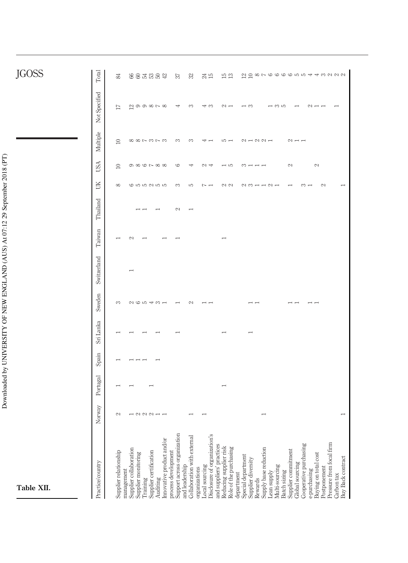|                                                    | Norway                   | Portugal | Spain | Sri Lanka | Sweden        | Switzerland | Taiwan | Thailand       | UK                                                                                                                                                                                                                                                                                                                                                                                                                                                                                                                | USA               | Multiple                                                           | Not Specified                             |
|----------------------------------------------------|--------------------------|----------|-------|-----------|---------------|-------------|--------|----------------|-------------------------------------------------------------------------------------------------------------------------------------------------------------------------------------------------------------------------------------------------------------------------------------------------------------------------------------------------------------------------------------------------------------------------------------------------------------------------------------------------------------------|-------------------|--------------------------------------------------------------------|-------------------------------------------|
| Supplier relationship                              | 2                        |          |       |           | ∞             |             |        |                | $\infty$                                                                                                                                                                                                                                                                                                                                                                                                                                                                                                          | $\overline{10}$   | $\approx$                                                          | Ħ                                         |
| Supplier collaboration                             |                          |          |       |           |               |             | 2      |                |                                                                                                                                                                                                                                                                                                                                                                                                                                                                                                                   |                   |                                                                    |                                           |
| Supplier monitoring                                | - 222                    |          |       |           | $200 + 37 -$  |             |        | ⊣              | <b>COOOOO</b>                                                                                                                                                                                                                                                                                                                                                                                                                                                                                                     | 00 00 10 10 00 00 | $\infty \infty \sim \infty$                                        | $\mathbf{N}$ a a $\infty$ $\sim$ $\infty$ |
| Supplier certification                             |                          |          |       |           |               |             |        |                |                                                                                                                                                                                                                                                                                                                                                                                                                                                                                                                   |                   |                                                                    |                                           |
|                                                    |                          |          |       |           |               |             |        |                |                                                                                                                                                                                                                                                                                                                                                                                                                                                                                                                   |                   |                                                                    |                                           |
| Innovative product and/or                          |                          |          |       |           |               |             |        |                |                                                                                                                                                                                                                                                                                                                                                                                                                                                                                                                   |                   |                                                                    |                                           |
| Support across organization<br>process development |                          |          |       |           |               |             |        | $\sim$         | 3                                                                                                                                                                                                                                                                                                                                                                                                                                                                                                                 | G                 | 3                                                                  | ⊣                                         |
| Collaboration with external                        |                          |          |       |           | $\mathcal{C}$ |             |        | $\overline{ }$ | S                                                                                                                                                                                                                                                                                                                                                                                                                                                                                                                 | 4                 | 3                                                                  | ∞                                         |
|                                                    |                          |          |       |           |               |             |        |                |                                                                                                                                                                                                                                                                                                                                                                                                                                                                                                                   |                   |                                                                    |                                           |
| `໙<br>Disclosure of organization                   |                          |          |       |           |               |             |        |                | ∼                                                                                                                                                                                                                                                                                                                                                                                                                                                                                                                 | $\omega$ 4        |                                                                    |                                           |
| and suppliers' practices                           |                          |          |       |           |               |             |        |                |                                                                                                                                                                                                                                                                                                                                                                                                                                                                                                                   |                   |                                                                    |                                           |
| Reducing supplier risk<br>Role of the purchasing   |                          |          |       |           |               |             |        |                | $\sim \infty$                                                                                                                                                                                                                                                                                                                                                                                                                                                                                                     | $\frac{1}{2}$     | $\overline{5}$                                                     | $\sim$ $-$                                |
|                                                    |                          |          |       |           |               |             |        |                |                                                                                                                                                                                                                                                                                                                                                                                                                                                                                                                   |                   |                                                                    |                                           |
| Special department<br>Supplier diversity           |                          |          |       |           |               |             |        |                | $\mathcal{O} \circ \mathcal{O} \circ \mathcal{O} \circ \mathcal{O} \circ \mathcal{O} \circ \mathcal{O} \circ \mathcal{O} \circ \mathcal{O} \circ \mathcal{O} \circ \mathcal{O} \circ \mathcal{O} \circ \mathcal{O} \circ \mathcal{O} \circ \mathcal{O} \circ \mathcal{O} \circ \mathcal{O} \circ \mathcal{O} \circ \mathcal{O} \circ \mathcal{O} \circ \mathcal{O} \circ \mathcal{O} \circ \mathcal{O} \circ \mathcal{O} \circ \mathcal{O} \circ \mathcal{O} \circ \mathcal{O} \circ \mathcal{O} \circ \mathcal{$ | 3                 | $\sim$                                                             | ⊣ ന                                       |
|                                                    | $\overline{\phantom{0}}$ |          |       |           |               |             |        |                |                                                                                                                                                                                                                                                                                                                                                                                                                                                                                                                   |                   |                                                                    |                                           |
| Supply base reduction                              |                          |          |       |           |               |             |        |                |                                                                                                                                                                                                                                                                                                                                                                                                                                                                                                                   |                   | $\begin{array}{c} \n 1 & 0 \\ \n 0 & 0 \\ \n 1 & 1 \n \end{array}$ |                                           |
|                                                    |                          |          |       |           |               |             |        |                |                                                                                                                                                                                                                                                                                                                                                                                                                                                                                                                   |                   |                                                                    | ന ഥ                                       |
| Supplier commitment                                |                          |          |       |           |               |             |        |                |                                                                                                                                                                                                                                                                                                                                                                                                                                                                                                                   | 2                 |                                                                    |                                           |
|                                                    |                          |          |       |           |               |             |        |                |                                                                                                                                                                                                                                                                                                                                                                                                                                                                                                                   |                   | $\sim$ $ -$                                                        |                                           |
| Cooperative purchasing                             |                          |          |       |           |               |             |        |                | ∞                                                                                                                                                                                                                                                                                                                                                                                                                                                                                                                 |                   |                                                                    |                                           |
| Buying on total cost                               |                          |          |       |           |               |             |        |                |                                                                                                                                                                                                                                                                                                                                                                                                                                                                                                                   | $\mathcal{L}$     |                                                                    | $\sim$ $-$                                |
| Pressure from focal firm                           |                          |          |       |           |               |             |        |                | 2                                                                                                                                                                                                                                                                                                                                                                                                                                                                                                                 |                   |                                                                    |                                           |
|                                                    |                          |          |       |           |               |             |        |                |                                                                                                                                                                                                                                                                                                                                                                                                                                                                                                                   |                   |                                                                    |                                           |
| Buy Back contract                                  |                          |          |       |           |               |             |        |                |                                                                                                                                                                                                                                                                                                                                                                                                                                                                                                                   |                   |                                                                    |                                           |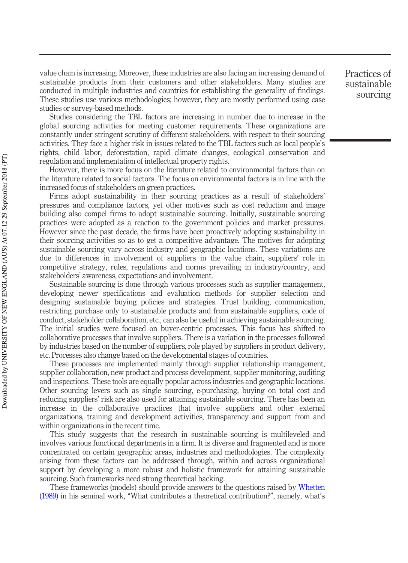value chain is increasing. Moreover, these industries are also facing an increasing demand of sustainable products from their customers and other stakeholders. Many studies are conducted in multiple industries and countries for establishing the generality of findings. These studies use various methodologies; however, they are mostly performed using case studies or survey-based methods.

Studies considering the TBL factors are increasing in number due to increase in the global sourcing activities for meeting customer requirements. These organizations are constantly under stringent scrutiny of different stakeholders, with respect to their sourcing activities. They face a higher risk in issues related to the TBL factors such as local people's rights, child labor, deforestation, rapid climate changes, ecological conservation and regulation and implementation of intellectual property rights.

However, there is more focus on the literature related to environmental factors than on the literature related to social factors. The focus on environmental factors is in line with the increased focus of stakeholders on green practices.

Firms adopt sustainability in their sourcing practices as a result of stakeholders' pressures and compliance factors, yet other motives such as cost reduction and image building also compel firms to adopt sustainable sourcing. Initially, sustainable sourcing practices were adopted as a reaction to the government policies and market pressures. However since the past decade, the firms have been proactively adopting sustainability in their sourcing activities so as to get a competitive advantage. The motives for adopting sustainable sourcing vary across industry and geographic locations. These variations are due to differences in involvement of suppliers in the value chain, suppliers' role in competitive strategy, rules, regulations and norms prevailing in industry/country, and stakeholders' awareness, expectations and involvement.

Sustainable sourcing is done through various processes such as supplier management, developing newer specifications and evaluation methods for supplier selection and designing sustainable buying policies and strategies. Trust building, communication, restricting purchase only to sustainable products and from sustainable suppliers, code of conduct, stakeholder collaboration, etc., can also be useful in achieving sustainable sourcing. The initial studies were focused on buyer-centric processes. This focus has shifted to collaborative processes that involve suppliers. There is a variation in the processes followed by industries based on the number of suppliers, role played by suppliers in product delivery, etc. Processes also change based on the developmental stages of countries.

These processes are implemented mainly through supplier relationship management, supplier collaboration, new product and process development, supplier monitoring, auditing and inspections. These tools are equally popular across industries and geographic locations. Other sourcing levers such as single sourcing, e-purchasing, buying on total cost and reducing suppliers' risk are also used for attaining sustainable sourcing. There has been an increase in the collaborative practices that involve suppliers and other external organizations, training and development activities, transparency and support from and within organizations in the recent time.

This study suggests that the research in sustainable sourcing is multileveled and involves various functional departments in a firm. It is diverse and fragmented and is more concentrated on certain geographic areas, industries and methodologies. The complexity arising from these factors can be addressed through, within and across organizational support by developing a more robust and holistic framework for attaining sustainable sourcing. Such frameworks need strong theoretical backing.

These frameworks (models) should provide answers to the questions raised by Whetten (1989) in his seminal work, "What contributes a theoretical contribution?", namely, what's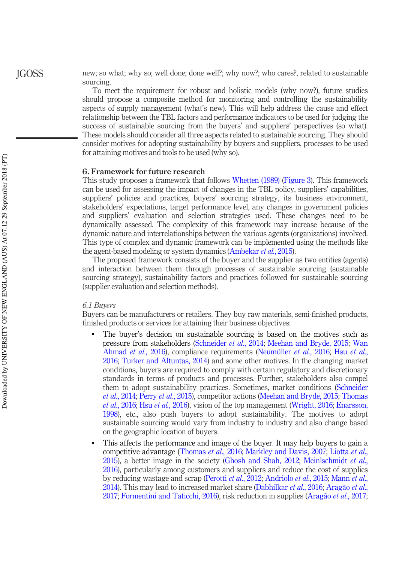new; so what; why so; well done; done well?; why now?; who cares?, related to sustainable sourcing.

To meet the requirement for robust and holistic models (why now?), future studies should propose a composite method for monitoring and controlling the sustainability aspects of supply management (what's new). This will help address the cause and effect relationship between the TBL factors and performance indicators to be used for judging the success of sustainable sourcing from the buyers' and suppliers' perspectives (so what). These models should consider all three aspects related to sustainable sourcing. They should consider motives for adopting sustainability by buyers and suppliers, processes to be used for attaining motives and tools to be used (why so).

#### 6. Framework for future research

This study proposes a framework that follows Whetten (1989) (Figure 3). This framework can be used for assessing the impact of changes in the TBL policy, suppliers' capabilities, suppliers' policies and practices, buyers' sourcing strategy, its business environment, stakeholders' expectations, target performance level, any changes in government policies and suppliers' evaluation and selection strategies used. These changes need to be dynamically assessed. The complexity of this framework may increase because of the dynamic nature and interrelationships between the various agents (organizations) involved. This type of complex and dynamic framework can be implemented using the methods like the agent-based modeling or system dynamics (Ambekar *et al.*, 2015).

The proposed framework consists of the buyer and the supplier as two entities (agents) and interaction between them through processes of sustainable sourcing (sustainable sourcing strategy), sustainability factors and practices followed for sustainable sourcing (supplier evaluation and selection methods).

#### *6.1 Buyers*

Buyers can be manufacturers or retailers. They buy raw materials, semi-finished products, finished products or services for attaining their business objectives:

- The buyer's decision on sustainable sourcing is based on the motives such as pressure from stakeholders (Schneider *et al*., 2014; Meehan and Bryde, 2015; Wan Ahmad *et al*., 2016), compliance requirements (Neumüller *et al*., 2016; Hsu *et al*., 2016; Turker and Altuntas, 2014) and some other motives. In the changing market conditions, buyers are required to comply with certain regulatory and discretionary standards in terms of products and processes. Further, stakeholders also compel them to adopt sustainability practices. Sometimes, market conditions (Schneider *et al*., 2014; Perry *et al*., 2015), competitor actions (Meehan and Bryde, 2015; Thomas *et al*., 2016; Hsu *et al.*, 2016), vision of the top management (Wright, 2016; Enarsson, 1998), etc., also push buyers to adopt sustainability. The motives to adopt sustainable sourcing would vary from industry to industry and also change based on the geographic location of buyers.
- This affects the performance and image of the buyer. It may help buyers to gain a competitive advantage (Thomas *et al*., 2016; Markley and Davis, 2007; Liotta *et al*., 2015), a better image in the society (Ghosh and Shah, 2012; Meinlschmidt *et al*., 2016), particularly among customers and suppliers and reduce the cost of supplies by reducing wastage and scrap (Perotti *et al*., 2012; Andriolo *et al*., 2015; Mann *et al*., 2014). This may lead to increased market share (Dabhilkar *et al*., 2016; Aragão *et al*., 2017; Formentini and Taticchi, 2016), risk reduction in supplies (Aragão *et al*., 2017;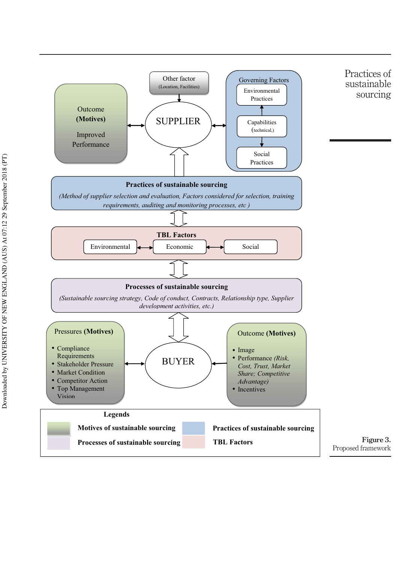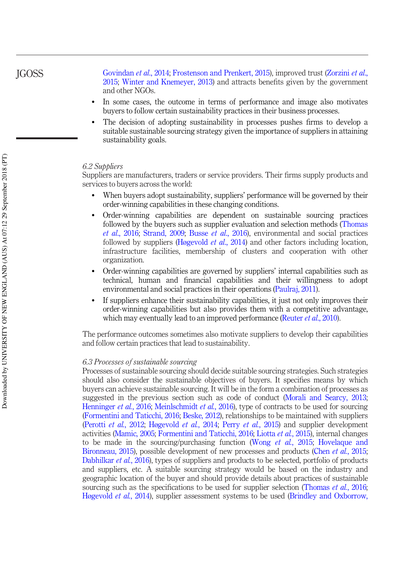### **IGOSS**

Govindan *et al*., 2014; Frostenson and Prenkert, 2015), improved trust (Zorzini *et al*., 2015; Winter and Knemeyer, 2013) and attracts benefits given by the government and other NGOs.

- In some cases, the outcome in terms of performance and image also motivates buyers to follow certain sustainability practices in their business processes.
- The decision of adopting sustainability in processes pushes firms to develop a suitable sustainable sourcing strategy given the importance of suppliers in attaining sustainability goals.

#### *6.2 Suppliers*

Suppliers are manufacturers, traders or service providers. Their firms supply products and services to buyers across the world:

- When buyers adopt sustainability, suppliers' performance will be governed by their order-winning capabilities in these changing conditions.
- Order-winning capabilities are dependent on sustainable sourcing practices followed by the buyers such as supplier evaluation and selection methods (Thomas *et al*., 2016; Strand, 2009; Busse *et al*., 2016), environmental and social practices followed by suppliers (Høgevold *et al*., 2014) and other factors including location, infrastructure facilities, membership of clusters and cooperation with other organization.
- Order-winning capabilities are governed by suppliers' internal capabilities such as technical, human and financial capabilities and their willingness to adopt environmental and social practices in their operations (Paulraj, 2011).
- If suppliers enhance their sustainability capabilities, it just not only improves their order-winning capabilities but also provides them with a competitive advantage, which may eventually lead to an improved performance (Reuter *et al*., 2010).

The performance outcomes sometimes also motivate suppliers to develop their capabilities and follow certain practices that lead to sustainability.

#### *6.3 Processes of sustainable sourcing*

Processes of sustainable sourcing should decide suitable sourcing strategies. Such strategies should also consider the sustainable objectives of buyers. It specifies means by which buyers can achieve sustainable sourcing. It will be in the form a combination of processes as suggested in the previous section such as code of conduct (Morali and Searcy, 2013; Henninger *et al.*, 2016; Meinlschmidt *et al.*, 2016), type of contracts to be used for sourcing (Formentini and Taticchi, 2016; Beske, 2012), relationships to be maintained with suppliers (Perotti *et al.*, 2012; Høgevold *et al.*, 2014; Perry *et al.*, 2015) and supplier development activities (Mamic, 2005; Formentini and Taticchi, 2016; Liotta *et al.*, 2015), internal changes to be made in the sourcing/purchasing function (Wong *et al.*, 2015; Hovelaque and Bironneau, 2015), possible development of new processes and products (Chen *et al.*, 2015; Dabhilkar *et al.*, 2016), types of suppliers and products to be selected, portfolio of products and suppliers, etc. A suitable sourcing strategy would be based on the industry and geographic location of the buyer and should provide details about practices of sustainable sourcing such as the specifications to be used for supplier selection (Thomas *et al.*, 2016; Høgevold *et al.*, 2014), supplier assessment systems to be used (Brindley and Oxborrow,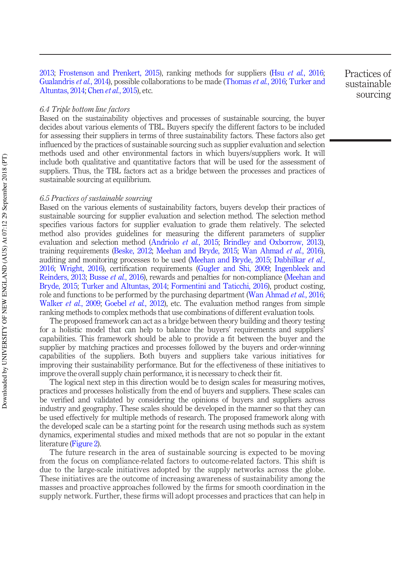2013; Frostenson and Prenkert, 2015), ranking methods for suppliers (Hsu *et al.*, 2016; Gualandris *et al.*, 2014), possible collaborations to be made (Thomas *et al.*, 2016; Turker and Altuntas, 2014; Chen *et al.*, 2015), etc.

#### *6.4 Triple bottom line factors*

Based on the sustainability objectives and processes of sustainable sourcing, the buyer decides about various elements of TBL. Buyers specify the different factors to be included for assessing their suppliers in terms of three sustainability factors. These factors also get influenced by the practices of sustainable sourcing such as supplier evaluation and selection methods used and other environmental factors in which buyers/suppliers work. It will include both qualitative and quantitative factors that will be used for the assessment of suppliers. Thus, the TBL factors act as a bridge between the processes and practices of sustainable sourcing at equilibrium.

#### *6.5 Practices of sustainable sourcing*

Based on the various elements of sustainability factors, buyers develop their practices of sustainable sourcing for supplier evaluation and selection method. The selection method specifies various factors for supplier evaluation to grade them relatively. The selected method also provides guidelines for measuring the different parameters of supplier evaluation and selection method (Andriolo *et al.*, 2015; Brindley and Oxborrow, 2013), training requirements (Beske, 2012; Meehan and Bryde, 2015; Wan Ahmad *et al.*, 2016), auditing and monitoring processes to be used (Meehan and Bryde, 2015; Dabhilkar *et al.*, 2016; Wright, 2016), certification requirements (Gugler and Shi, 2009; Ingenbleek and Reinders, 2013; Busse *et al.*, 2016), rewards and penalties for non-compliance (Meehan and Bryde, 2015; Turker and Altuntas, 2014; Formentini and Taticchi, 2016), product costing, role and functions to be performed by the purchasing department (Wan Ahmad *et al.*, 2016; Walker *et al.*, 2009; Goebel *et al.*, 2012), etc. The evaluation method ranges from simple ranking methods to complex methods that use combinations of different evaluation tools.

The proposed framework can act as a bridge between theory building and theory testing for a holistic model that can help to balance the buyers' requirements and suppliers' capabilities. This framework should be able to provide a fit between the buyer and the supplier by matching practices and processes followed by the buyers and order-winning capabilities of the suppliers. Both buyers and suppliers take various initiatives for improving their sustainability performance. But for the effectiveness of these initiatives to improve the overall supply chain performance, it is necessary to check their fit.

The logical next step in this direction would be to design scales for measuring motives, practices and processes holistically from the end of buyers and suppliers. These scales can be verified and validated by considering the opinions of buyers and suppliers across industry and geography. These scales should be developed in the manner so that they can be used effectively for multiple methods of research. The proposed framework along with the developed scale can be a starting point for the research using methods such as system dynamics, experimental studies and mixed methods that are not so popular in the extant literature (Figure 2).

The future research in the area of sustainable sourcing is expected to be moving from the focus on compliance-related factors to outcome-related factors. This shift is due to the large-scale initiatives adopted by the supply networks across the globe. These initiatives are the outcome of increasing awareness of sustainability among the masses and proactive approaches followed by the firms for smooth coordination in the supply network. Further, these firms will adopt processes and practices that can help in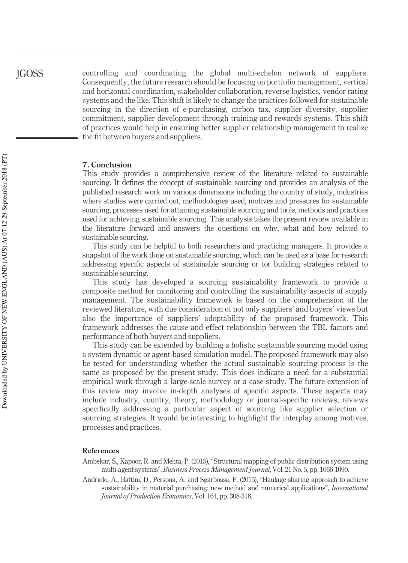controlling and coordinating the global multi-echelon network of suppliers. Consequently, the future research should be focusing on portfolio management, vertical and horizontal coordination, stakeholder collaboration, reverse logistics, vendor rating systems and the like. This shift is likely to change the practices followed for sustainable sourcing in the direction of e-purchasing, carbon tax, supplier diversity, supplier commitment, supplier development through training and rewards systems. This shift of practices would help in ensuring better supplier relationship management to realize the fit between buyers and suppliers.

#### 7. Conclusion

This study provides a comprehensive review of the literature related to sustainable sourcing. It defines the concept of sustainable sourcing and provides an analysis of the published research work on various dimensions including the country of study, industries where studies were carried out, methodologies used, motives and pressures for sustainable sourcing, processes used for attaining sustainable sourcing and tools, methods and practices used for achieving sustainable sourcing. This analysis takes the present review available in the literature forward and answers the questions on why, what and how related to sustainable sourcing.

This study can be helpful to both researchers and practicing managers. It provides a snapshot of the work done on sustainable sourcing, which can be used as a base for research addressing specific aspects of sustainable sourcing or for building strategies related to sustainable sourcing.

This study has developed a sourcing sustainability framework to provide a composite method for monitoring and controlling the sustainability aspects of supply management. The sustainability framework is based on the comprehension of the reviewed literature, with due consideration of not only suppliers' and buyers' views but also the importance of suppliers' adoptability of the proposed framework. This framework addresses the cause and effect relationship between the TBL factors and performance of both buyers and suppliers.

This study can be extended by building a holistic sustainable sourcing model using a system dynamic or agent-based simulation model. The proposed framework may also be tested for understanding whether the actual sustainable sourcing process is the same as proposed by the present study. This does indicate a need for a substantial empirical work through a large-scale survey or a case study. The future extension of this review may involve in-depth analyses of specific aspects. These aspects may include industry, country, theory, methodology or journal-specific reviews, reviews specifically addressing a particular aspect of sourcing like supplier selection or sourcing strategies. It would be interesting to highlight the interplay among motives, processes and practices.

#### References

- Ambekar, S., Kapoor, R. and Mehta, P. (2015), "Structural mapping of public distribution system using multi-agent systems", *Business Process Management Journal*, Vol. 21 No. 5, pp. 1066-1090.
- Andriolo, A., Battini, D., Persona, A. and Sgarbossa, F. (2015), "Haulage sharing approach to achieve sustainability in material purchasing: new method and numerical applications", *International Journal of Production Economics*, Vol. 164, pp. 308-318.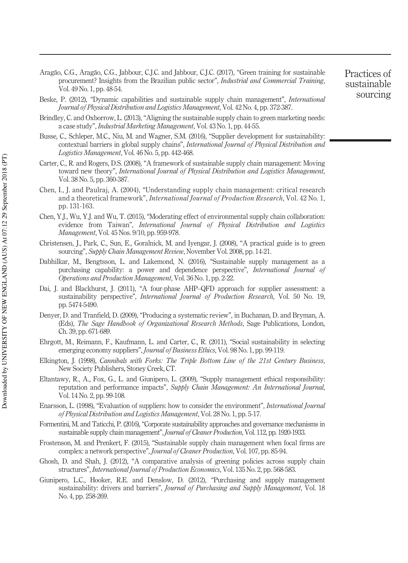- Aragão, C.G., Aragão, C.G., Jabbour, C.J.C. and Jabbour, C.J.C. (2017), "Green training for sustainable procurement? Insights from the Brazilian public sector", *Industrial and Commercial Training*, Vol. 49 No. 1, pp. 48-54.
- Beske, P. (2012), "Dynamic capabilities and sustainable supply chain management", *International Journal of Physical Distribution and Logistics Management*, Vol. 42 No. 4, pp. 372-387.
- Brindley, C. and Oxborrow, L. (2013), "Aligning the sustainable supply chain to green marketing needs: a case study", *Industrial Marketing Management*, Vol. 43 No. 1, pp. 44-55.
- Busse, C., Schleper, M.C., Niu, M. and Wagner, S.M. (2016), "Supplier development for sustainability: contextual barriers in global supply chains", *International Journal of Physical Distribution and Logistics Management*, Vol. 46 No. 5, pp. 442-468.
- Carter, C., R. and Rogers, D.S. (2008), "A framework of sustainable supply chain management: Moving toward new theory", *International Journal of Physical Distribution and Logistics Management*, Vol. 38 No. 5, pp. 360-387.
- Chen, I., J. and Paulraj, A. (2004), "Understanding supply chain management: critical research and a theoretical framework", *International Journal of Production Research*, Vol. 42 No. 1, pp. 131-163.
- Chen, Y.J., Wu, Y.J. and Wu, T. (2015), "Moderating effect of environmental supply chain collaboration: evidence from Taiwan", *International Journal of Physical Distribution and Logistics Management*, Vol. 45 Nos. 9/10, pp. 959-978.
- Christensen, J., Park, C., Sun, E., Goralnick, M. and Iyengar, J. (2008), "A practical guide is to green sourcing", *Supply Chain Management Review*, November Vol. 2008, pp. 14-21.
- Dabhilkar, M., Bengtsson, L. and Lakemond, N. (2016), "Sustainable supply management as a purchasing capability: a power and dependence perspective", *International Journal of Operations and Production Management*, Vol. 36 No. 1, pp. 2-22.
- Dai, J. and Blackhurst, J. (2011), "A four-phase AHP–QFD approach for supplier assessment: a sustainability perspective", *International Journal of Production Research*, Vol. 50 No. 19, pp. 5474-5490.
- Denyer, D. and Tranfield, D. (2009), "Producing a systematic review", in Buchanan, D. and Bryman, A. (Eds), *The Sage Handbook of Organizational Research Methods*, Sage Publications, London, Ch. 39, pp. 671-689.
- Ehrgott, M., Reimann, F., Kaufmann, L. and Carter, C., R. (2011), "Social sustainability in selecting emerging economy suppliers", *Journal of Business Ethics*, Vol. 98 No. 1, pp. 99-119.
- Elkington, J. (1998), *Cannibals with Forks: The Triple Bottom Line of the 21st Century Business*, New Society Publishers, Stoney Creek, CT.
- Eltantawy, R., A., Fox, G., L. and Giunipero, L. (2009), "Supply management ethical responsibility: reputation and performance impacts", *Supply Chain Management: An International Journal*, Vol. 14 No. 2, pp. 99-108.
- Enarsson, L. (1998), "Evaluation of suppliers: how to consider the environment", *International Journal of Physical Distribution and Logistics Management*, Vol. 28 No. 1, pp. 5-17.
- Formentini, M. and Taticchi, P. (2016), "Corporate sustainability approaches and governance mechanisms in sustainable supply chain management", *Journal of Cleaner Production*, Vol. 112, pp. 1920-1933.
- Frostenson, M. and Prenkert, F. (2015), "Sustainable supply chain management when focal firms are complex: a network perspective", *Journal of Cleaner Production*, Vol. 107, pp. 85-94.
- Ghosh, D. and Shah, J. (2012), "A comparative analysis of greening policies across supply chain structures", *International Journal of Production Economics*, Vol. 135 No. 2, pp. 568-583.
- Giunipero, L.C., Hooker, R.E. and Denslow, D. (2012), "Purchasing and supply management sustainability: drivers and barriers", *Journal of Purchasing and Supply Management*, Vol. 18 No. 4, pp. 258-269.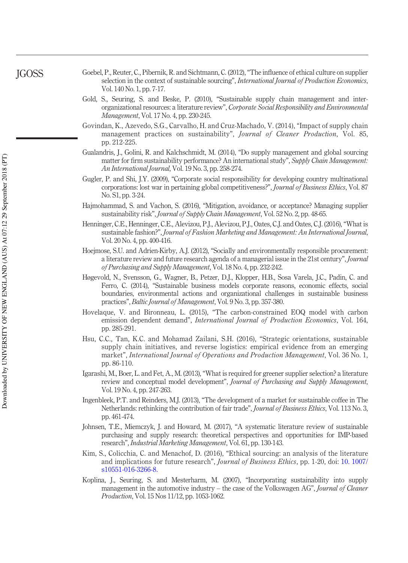- Goebel, P., Reuter, C., Pibernik, R. and Sichtmann, C. (2012),"The influence of ethical culture on supplier selection in the context of sustainable sourcing", *International Journal of Production Economics*, Vol. 140 No. 1, pp. 7-17.
	- Gold, S., Seuring, S. and Beske, P. (2010), "Sustainable supply chain management and interorganizational resources: a literature review", *Corporate Social Responsibility and Environmental Management*, Vol. 17 No. 4, pp. 230-245.
	- Govindan, K., Azevedo, S.G., Carvalho, H. and Cruz-Machado, V. (2014), "Impact of supply chain management practices on sustainability", *Journal of Cleaner Production*, Vol. 85, pp. 212-225.
	- Gualandris, J., Golini, R. and Kalchschmidt, M. (2014), "Do supply management and global sourcing matter for firm sustainability performance? An international study", *Supply Chain Management: An International Journal*, Vol. 19 No. 3, pp. 258-274.
	- Gugler, P. and Shi, J.Y. (2009), "Corporate social responsibility for developing country multinational corporations: lost war in pertaining global competitiveness?", *Journal of Business Ethics*, Vol. 87 No. S1, pp. 3-24.
	- Hajmohammad, S. and Vachon, S. (2016), "Mitigation, avoidance, or acceptance? Managing supplier sustainability risk", *Journal of Supply Chain Management*, Vol. 52 No. 2, pp. 48-65.
	- Henninger, C.E., Henninger, C.E., Alevizou, P.J., Alevizou, P.J., Oates, C.J. and Oates, C.J. (2016),"What is sustainable fashion?", *Journal of Fashion Marketing and Management: An International Journal*, Vol. 20 No. 4, pp. 400-416.
	- Hoejmose, S.U. and Adrien-Kirby, A.J. (2012), "Socially and environmentally responsible procurement: a literature review and future research agenda of a managerial issue in the 21st century", *Journal of Purchasing and Supply Management*, Vol. 18 No. 4, pp. 232-242.
	- Høgevold, N., Svensson, G., Wagner, B., Petzer, D.J., Klopper, H.B., Sosa Varela, J.C., Padin, C. and Ferro, C. (2014), "Sustainable business models corporate reasons, economic effects, social boundaries, environmental actions and organizational challenges in sustainable business practices", *Baltic Journal of Management*, Vol. 9 No. 3, pp. 357-380.
	- Hovelaque, V. and Bironneau, L. (2015), "The carbon-constrained EOQ model with carbon emission dependent demand", *International Journal of Production Economics*, Vol. 164, pp. 285-291.
	- Hsu, C.C., Tan, K.C. and Mohamad Zailani, S.H. (2016), "Strategic orientations, sustainable supply chain initiatives, and reverse logistics: empirical evidence from an emerging market", *International Journal of Operations and Production Management*, Vol. 36 No. 1, pp. 86-110.
	- Igarashi, M., Boer, L. and Fet, A., M. (2013), "What is required for greener supplier selection? a literature review and conceptual model development", *Journal of Purchasing and Supply Management*, Vol. 19 No. 4, pp. 247-263.
	- Ingenbleek, P.T. and Reinders, M.J. (2013), "The development of a market for sustainable coffee in The Netherlands: rethinking the contribution of fair trade", *Journal of Business Ethics*, Vol. 113 No. 3, pp. 461-474.
	- Johnsen, T.E., Miemczyk, J. and Howard, M. (2017), "A systematic literature review of sustainable purchasing and supply research: theoretical perspectives and opportunities for IMP-based research", *Industrial Marketing Management*, Vol. 61, pp. 130-143.
	- Kim, S., Colicchia, C. and Menachof, D. (2016), "Ethical sourcing: an analysis of the literature and implications for future research", *Journal of Business Ethics*, pp. 1-20, doi: 10. 1007/ s10551-016-3266-8.
	- Koplina, J., Seuring, S. and Mesterharm, M. (2007), "Incorporating sustainability into supply management in the automotive industry – the case of the Volkswagen AG", *Journal of Cleaner Production*, Vol. 15 Nos 11/12, pp. 1053-1062.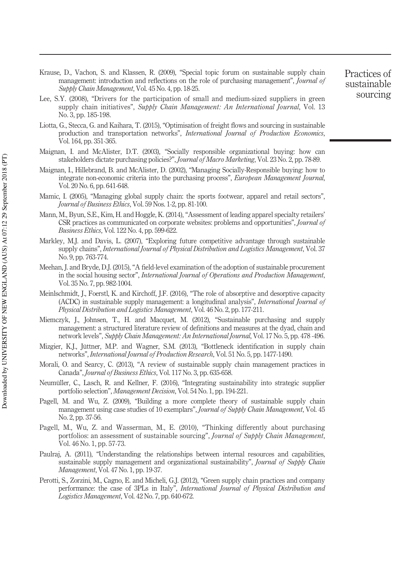- Krause, D., Vachon, S. and Klassen, R. (2009), "Special topic forum on sustainable supply chain management: introduction and reflections on the role of purchasing management", *Journal of Supply Chain Management*, Vol. 45 No. 4, pp. 18-25.
- Lee, S.Y. (2008), "Drivers for the participation of small and medium-sized suppliers in green supply chain initiatives", *Supply Chain Management: An International Journal*, Vol. 13 No. 3, pp. 185-198.
- Liotta, G., Stecca, G. and Kaihara, T. (2015), "Optimisation of freight flows and sourcing in sustainable production and transportation networks", *International Journal of Production Economics*, Vol. 164, pp. 351-365.
- Maignan, I. and McAlister, D.T. (2003), "Socially responsible organizational buying: how can stakeholders dictate purchasing policies?", *Journal of Macro Marketing*, Vol. 23 No. 2, pp. 78-89.
- Maignan, I., Hillebrand, B. and McAlister, D. (2002), "Managing Socially-Responsible buying: how to integrate non-economic criteria into the purchasing process", *European Management Journal*, Vol. 20 No. 6, pp. 641-648.
- Mamic, I. (2005), "Managing global supply chain: the sports footwear, apparel and retail sectors", *Journal of Business Ethics*, Vol. 59 Nos. 1-2, pp. 81-100.
- Mann, M., Byun, S.E., Kim, H. and Hoggle, K. (2014), "Assessment of leading apparel specialty retailers' CSR practices as communicated on corporate websites: problems and opportunities", *Journal of Business Ethics*, Vol. 122 No. 4, pp. 599-622.
- Markley, M.J. and Davis, L. (2007), "Exploring future competitive advantage through sustainable supply chains", *International Journal of Physical Distribution and Logistics Management*, Vol. 37 No. 9, pp. 763-774.
- Meehan, J. and Bryde, D.J. (2015), "A field-level examination of the adoption of sustainable procurement in the social housing sector", *International Journal of Operations and Production Management*, Vol. 35 No. 7, pp. 982-1004.
- Meinlschmidt, J., Foerstl, K. and Kirchoff, J.F. (2016), "The role of absorptive and desorptive capacity (ACDC) in sustainable supply management: a longitudinal analysis", *International Journal of Physical Distribution and Logistics Management*, Vol. 46 No. 2, pp. 177-211.
- Miemczyk, J., Johnsen, T., H. and Macquet, M. (2012), "Sustainable purchasing and supply management: a structured literature review of definitions and measures at the dyad, chain and network levels", *Supply Chain Management: An International Journal*, Vol. 17 No. 5, pp. 478 -496.
- Mizgier, K.J., Jüttner, M.P. and Wagner, S.M. (2013), "Bottleneck identification in supply chain networks", *International Journal of Production Research*, Vol. 51 No. 5, pp. 1477-1490.
- Morali, O. and Searcy, C. (2013), "A review of sustainable supply chain management practices in Canada", *Journal of Business Ethics*, Vol. 117 No. 3, pp. 635-658.
- Neumüller, C., Lasch, R. and Kellner, F. (2016), "Integrating sustainability into strategic supplier portfolio selection", *Management Decision*, Vol. 54 No. 1, pp. 194-221.
- Pagell, M. and Wu, Z. (2009), "Building a more complete theory of sustainable supply chain management using case studies of 10 exemplars", *Journal of Supply Chain Management*, Vol. 45 No. 2, pp. 37-56.
- Pagell, M., Wu, Z. and Wasserman, M., E. (2010), "Thinking differently about purchasing portfolios: an assessment of sustainable sourcing", *Journal of Supply Chain Management*, Vol. 46 No. 1, pp. 57-73.
- Paulraj, A. (2011), "Understanding the relationships between internal resources and capabilities, sustainable supply management and organizational sustainability", *Journal of Supply Chain Management*, Vol. 47 No. 1, pp. 19-37.
- Perotti, S., Zorzini, M., Cagno, E. and Micheli, G.J. (2012), "Green supply chain practices and company performance: the case of 3PLs in Italy", *International Journal of Physical Distribution and Logistics Management*, Vol. 42 No. 7, pp. 640-672.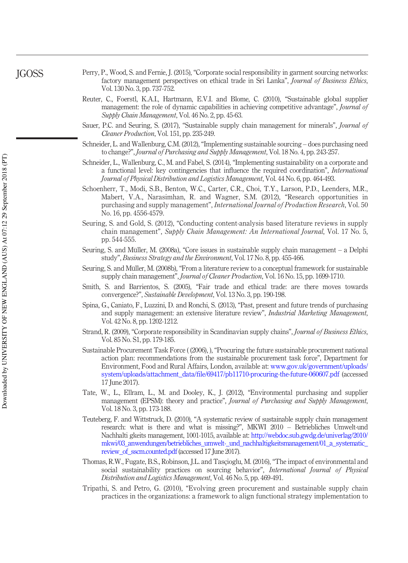- Perry, P., Wood, S. and Fernie, J. (2015), "Corporate social responsibility in garment sourcing networks: factory management perspectives on ethical trade in Sri Lanka", *Journal of Business Ethics*, Vol. 130 No. 3, pp. 737-752.
- Reuter, C., Foerstl, K.A.I., Hartmann, E.V.I. and Blome, C. (2010), "Sustainable global supplier management: the role of dynamic capabilities in achieving competitive advantage", *Journal of Supply Chain Management*, Vol. 46 No. 2, pp. 45-63.
- Sauer, P.C. and Seuring, S. (2017), "Sustainable supply chain management for minerals", *Journal of Cleaner Production*, Vol. 151, pp. 235-249.
- Schneider, L. and Wallenburg, C.M. (2012), "Implementing sustainable sourcing does purchasing need to change?", *Journal of Purchasing and Supply Management*, Vol. 18 No. 4, pp. 243-257.
- Schneider, L., Wallenburg, C., M. and Fabel, S. (2014), "Implementing sustainability on a corporate and a functional level: key contingencies that influence the required coordination", *International Journal of Physical Distribution and Logistics Management*, Vol. 44 No. 6, pp. 464-493.
- Schoenherr, T., Modi, S.B., Benton, W.C., Carter, C.R., Choi, T.Y., Larson, P.D., Leenders, M.R., Mabert, V.A., Narasimhan, R. and Wagner, S.M. (2012), "Research opportunities in purchasing and supply management", *International Journal of Production Research*, Vol. 50 No. 16, pp. 4556-4579.
- Seuring, S. and Gold, S. (2012), "Conducting content-analysis based literature reviews in supply chain management", *Supply Chain Management: An International Journal*, Vol. 17 No. 5, pp. 544-555.
- Seuring, S. and Müller, M. (2008a), "Core issues in sustainable supply chain management a Delphi study", *Business Strategy and the Environment*, Vol. 17 No. 8, pp. 455-466.
- Seuring, S. and Müller, M. (2008b), "From a literature review to a conceptual framework for sustainable supply chain management", *Journal of Cleaner Production*, Vol. 16 No. 15, pp. 1699-1710.
- Smith, S. and Barrientos, S. (2005), "Fair trade and ethical trade: are there moves towards convergence?", *Sustainable Development*, Vol. 13 No. 3, pp. 190-198.
- Spina, G., Caniato, F., Luzzini, D. and Ronchi, S. (2013), "Past, present and future trends of purchasing and supply management: an extensive literature review", *Industrial Marketing Management*, Vol. 42 No. 8, pp. 1202-1212.
- Strand, R. (2009), "Corporate responsibility in Scandinavian supply chains", *Journal of Business Ethics*, Vol. 85 No. S1, pp. 179-185.
- Sustainable Procurement Task Force ( (2006), ), "Procuring the future sustainable procurement national action plan: recommendations from the sustainable procurement task force", Department for Environment, Food and Rural Affairs, London, available at: www.gov.uk/government/uploads/ system/uploads/attachment\_data/file/69417/pb11710-procuring-the-future-060607.pdf (accessed 17 June 2017).
- Tate, W., L., Ellram, L., M. and Dooley, K., J. (2012), "Environmental purchasing and supplier management (EPSM): theory and practice", *Journal of Purchasing and Supply Management*, Vol. 18 No. 3, pp. 173-188.
- Teuteberg, F. and Wittstruck, D. (2010), "A systematic review of sustainable supply chain management research: what is there and what is missing?", MKWI 2010 – Betriebliches Umwelt-und Nachhalti gkeits management, 1001-1015, available at: http://webdoc.sub.gwdg.de/univerlag/2010/ mkwi/03\_anwendungen/betriebliches\_umwelt-\_und\_nachhaltigkeitsmanagement/01\_a\_systematic\_ review\_of\_sscm.counted.pdf (accessed 17 June 2017).
- Thomas, R.W., Fugate, B.S., Robinson, J.L. and Tasçioglu, M. (2016), "The impact of environmental and social sustainability practices on sourcing behavior", *International Journal of Physical Distribution and Logistics Management*, Vol. 46 No. 5, pp. 469-491.
- Tripathi, S. and Petro, G. (2010), "Evolving green procurement and sustainable supply chain practices in the organizations: a framework to align functional strategy implementation to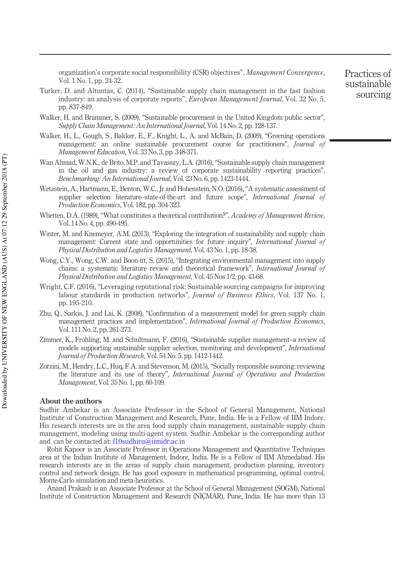organization's corporate social responsibility (CSR) objectives", *Management Convergence*, Vol. 1 No. 1, pp. 24-32.

- Turker, D. and Altuntas, C. (2014), "Sustainable supply chain management in the fast fashion industry: an analysis of corporate reports", *European Management Journal*, Vol. 32 No. 5, pp. 837-849.
- Walker, H. and Brammer, S. (2009), "Sustainable procurement in the United Kingdom public sector", *Supply Chain Management: An International Journal*, Vol. 14 No. 2, pp. 128-137.
- Walker, H., L., Gough, S., Bakker, E., F., Knight, L., A. and McBain, D. (2009), "Greening operations management: an online sustainable procurement course for practitioners", *Journal of Management Education*, Vol. 33 No. 3, pp. 348-371.
- Wan Ahmad, W.N.K., de Brito, M.P. and Tavasszy, L.A. (2016), "Sustainable supply chain management in the oil and gas industry: a review of corporate sustainability reporting practices", *Benchmarking: An International Journal*, Vol. 23 No. 6, pp. 1423-1444.
- Wetzstein, A., Hartmann, E., Benton, W.C., Jr and Hohenstein, N.O. (2016), "A systematic assessment of supplier selection literature–state-of-the-art and future scope", *International Journal of Production Economics*, Vol. 182, pp. 304-323.
- Whetten, D.A. (1989), "What constitutes a theoretical contribution?", *Academy of Management Review*, Vol. 14 No. 4, pp. 490-495.
- Winter, M. and Knemeyer, A.M. (2013), "Exploring the integration of sustainability and supply chain management: Current state and opportunities for future inquiry", *International Journal of Physical Distribution and Logistics Management*, Vol. 43 No. 1, pp. 18-38.
- Wong, C.Y., Wong, C.W. and Boon-itt, S. (2015), "Integrating environmental management into supply chains: a systematic literature review and theoretical framework", *International Journal of Physical Distribution and Logistics Management*, Vol. 45 Nos 1/2, pp. 43-68.
- Wright, C.F. (2016), "Leveraging reputational risk: Sustainable sourcing campaigns for improving labour standards in production networks", *Journal of Business Ethics*, Vol. 137 No. 1, pp. 195-210.
- Zhu, Q., Sarkis, J. and Lai, K. (2008), "Confirmation of a measurement model for green supply chain management practices and implementation", *International Journal of Production Economics*, Vol. 111 No. 2, pp. 261-273.
- Zimmer, K., Fröhling, M. and Schultmann, F. (2016), "Sustainable supplier management–a review of models supporting sustainable supplier selection, monitoring and development", *International Journal of Production Research*, Vol. 54 No. 5, pp. 1412-1442.
- Zorzini, M., Hendry, L.C., Huq, F.A. and Stevenson, M. (2015), "Socially responsible sourcing: reviewing the literature and its use of theory", *International Journal of Operations and Production Management*, Vol. 35 No. 1, pp. 60-109.

#### About the authors

Sudhir Ambekar is an Associate Professor in the School of General Management, National Institute of Construction Management and Research, Pune, India. He is a Fellow of IIM Indore. His research interests are in the area food supply chain management, sustainable supply chain management, modeling using multi-agent system. Sudhir Ambekar is the corresponding author and can be contacted at: f10sudhiru@iimidr.ac.in

Rohit Kapoor is an Associate Professor in Operations Management and Quantitative Techniques area at the Indian Institute of Management, Indore, India. He is a Fellow of IIM Ahmedabad. His research interests are in the areas of supply chain management, production planning, inventory control and network design. He has good exposure in mathematical programming, optimal control, Monte-Carlo simulation and meta-heuristics.

Anand Prakash is an Associate Professor at the School of General Management (SOGM), National Institute of Construction Management and Research (NICMAR), Pune, India. He has more than 13